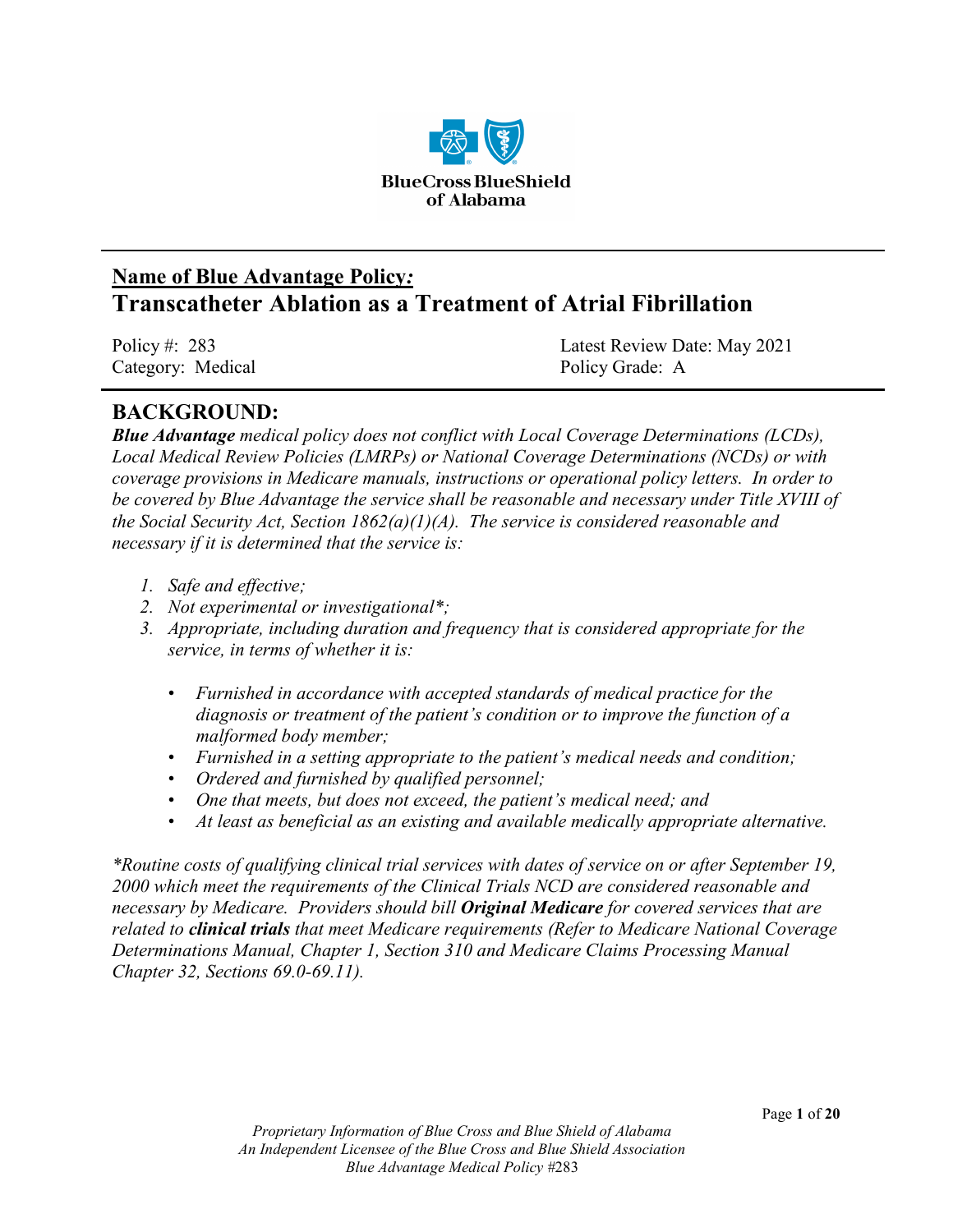

# **Name of Blue Advantage Policy***:* **Transcatheter Ablation as a Treatment of Atrial Fibrillation**

Category: Medical Policy Grade: A

Policy #: 283 Latest Review Date: May 2021

## **BACKGROUND:**

*Blue Advantage medical policy does not conflict with Local Coverage Determinations (LCDs), Local Medical Review Policies (LMRPs) or National Coverage Determinations (NCDs) or with coverage provisions in Medicare manuals, instructions or operational policy letters. In order to be covered by Blue Advantage the service shall be reasonable and necessary under Title XVIII of the Social Security Act, Section 1862(a)(1)(A). The service is considered reasonable and necessary if it is determined that the service is:*

- *1. Safe and effective;*
- *2. Not experimental or investigational\*;*
- *3. Appropriate, including duration and frequency that is considered appropriate for the service, in terms of whether it is:*
	- *Furnished in accordance with accepted standards of medical practice for the diagnosis or treatment of the patient's condition or to improve the function of a malformed body member;*
	- *Furnished in a setting appropriate to the patient's medical needs and condition;*
	- *Ordered and furnished by qualified personnel;*
	- *One that meets, but does not exceed, the patient's medical need; and*
	- *At least as beneficial as an existing and available medically appropriate alternative.*

*\*Routine costs of qualifying clinical trial services with dates of service on or after September 19, 2000 which meet the requirements of the Clinical Trials NCD are considered reasonable and necessary by Medicare. Providers should bill Original Medicare for covered services that are related to clinical trials that meet Medicare requirements (Refer to Medicare National Coverage Determinations Manual, Chapter 1, Section 310 and Medicare Claims Processing Manual Chapter 32, Sections 69.0-69.11).*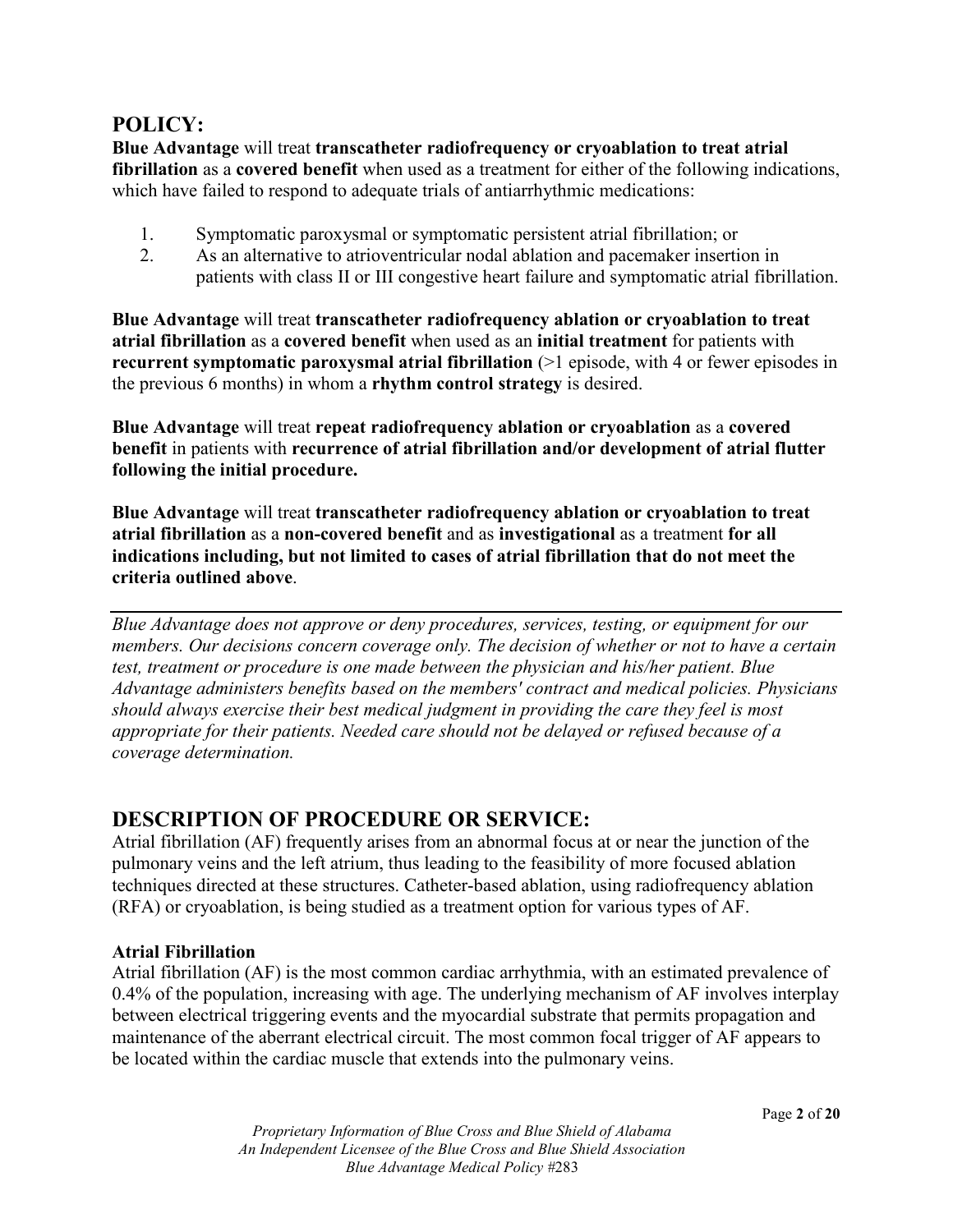### **POLICY:**

**Blue Advantage** will treat **transcatheter radiofrequency or cryoablation to treat atrial fibrillation** as a **covered benefit** when used as a treatment for either of the following indications, which have failed to respond to adequate trials of antiarrhythmic medications:

- 1. Symptomatic paroxysmal or symptomatic persistent atrial fibrillation; or
- 2. As an alternative to atrioventricular nodal ablation and pacemaker insertion in patients with class II or III congestive heart failure and symptomatic atrial fibrillation.

**Blue Advantage** will treat **transcatheter radiofrequency ablation or cryoablation to treat atrial fibrillation** as a **covered benefit** when used as an **initial treatment** for patients with **recurrent symptomatic paroxysmal atrial fibrillation** (>1 episode, with 4 or fewer episodes in the previous 6 months) in whom a **rhythm control strategy** is desired.

**Blue Advantage** will treat **repeat radiofrequency ablation or cryoablation** as a **covered benefit** in patients with **recurrence of atrial fibrillation and/or development of atrial flutter following the initial procedure.**

**Blue Advantage** will treat **transcatheter radiofrequency ablation or cryoablation to treat atrial fibrillation** as a **non-covered benefit** and as **investigational** as a treatment **for all indications including, but not limited to cases of atrial fibrillation that do not meet the criteria outlined above**.

*Blue Advantage does not approve or deny procedures, services, testing, or equipment for our members. Our decisions concern coverage only. The decision of whether or not to have a certain test, treatment or procedure is one made between the physician and his/her patient. Blue Advantage administers benefits based on the members' contract and medical policies. Physicians should always exercise their best medical judgment in providing the care they feel is most appropriate for their patients. Needed care should not be delayed or refused because of a coverage determination.*

## **DESCRIPTION OF PROCEDURE OR SERVICE:**

Atrial fibrillation (AF) frequently arises from an abnormal focus at or near the junction of the pulmonary veins and the left atrium, thus leading to the feasibility of more focused ablation techniques directed at these structures. Catheter-based ablation, using radiofrequency ablation (RFA) or cryoablation, is being studied as a treatment option for various types of AF.

#### **Atrial Fibrillation**

Atrial fibrillation (AF) is the most common cardiac arrhythmia, with an estimated prevalence of 0.4% of the population, increasing with age. The underlying mechanism of AF involves interplay between electrical triggering events and the myocardial substrate that permits propagation and maintenance of the aberrant electrical circuit. The most common focal trigger of AF appears to be located within the cardiac muscle that extends into the pulmonary veins.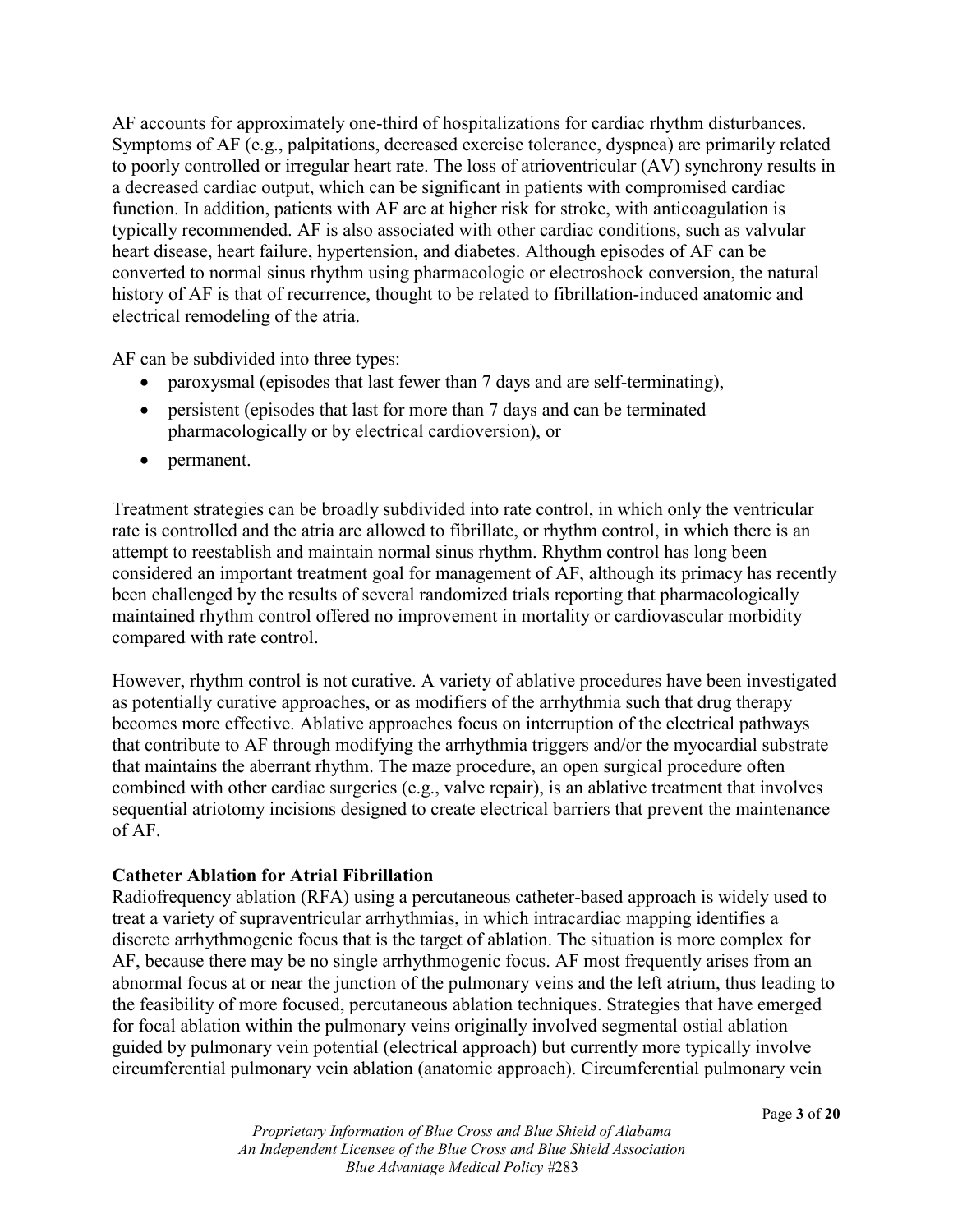AF accounts for approximately one-third of hospitalizations for cardiac rhythm disturbances. Symptoms of AF (e.g., palpitations, decreased exercise tolerance, dyspnea) are primarily related to poorly controlled or irregular heart rate. The loss of atrioventricular (AV) synchrony results in a decreased cardiac output, which can be significant in patients with compromised cardiac function. In addition, patients with AF are at higher risk for stroke, with anticoagulation is typically recommended. AF is also associated with other cardiac conditions, such as valvular heart disease, heart failure, hypertension, and diabetes. Although episodes of AF can be converted to normal sinus rhythm using pharmacologic or electroshock conversion, the natural history of AF is that of recurrence, thought to be related to fibrillation-induced anatomic and electrical remodeling of the atria.

AF can be subdivided into three types:

- paroxysmal (episodes that last fewer than 7 days and are self-terminating),
- persistent (episodes that last for more than 7 days and can be terminated pharmacologically or by electrical cardioversion), or
- permanent.

Treatment strategies can be broadly subdivided into rate control, in which only the ventricular rate is controlled and the atria are allowed to fibrillate, or rhythm control, in which there is an attempt to reestablish and maintain normal sinus rhythm. Rhythm control has long been considered an important treatment goal for management of AF, although its primacy has recently been challenged by the results of several randomized trials reporting that pharmacologically maintained rhythm control offered no improvement in mortality or cardiovascular morbidity compared with rate control.

However, rhythm control is not curative. A variety of ablative procedures have been investigated as potentially curative approaches, or as modifiers of the arrhythmia such that drug therapy becomes more effective. Ablative approaches focus on interruption of the electrical pathways that contribute to AF through modifying the arrhythmia triggers and/or the myocardial substrate that maintains the aberrant rhythm. The maze procedure, an open surgical procedure often combined with other cardiac surgeries (e.g., valve repair), is an ablative treatment that involves sequential atriotomy incisions designed to create electrical barriers that prevent the maintenance of AF.

#### **Catheter Ablation for Atrial Fibrillation**

Radiofrequency ablation (RFA) using a percutaneous catheter-based approach is widely used to treat a variety of supraventricular arrhythmias, in which intracardiac mapping identifies a discrete arrhythmogenic focus that is the target of ablation. The situation is more complex for AF, because there may be no single arrhythmogenic focus. AF most frequently arises from an abnormal focus at or near the junction of the pulmonary veins and the left atrium, thus leading to the feasibility of more focused, percutaneous ablation techniques. Strategies that have emerged for focal ablation within the pulmonary veins originally involved segmental ostial ablation guided by pulmonary vein potential (electrical approach) but currently more typically involve circumferential pulmonary vein ablation (anatomic approach). Circumferential pulmonary vein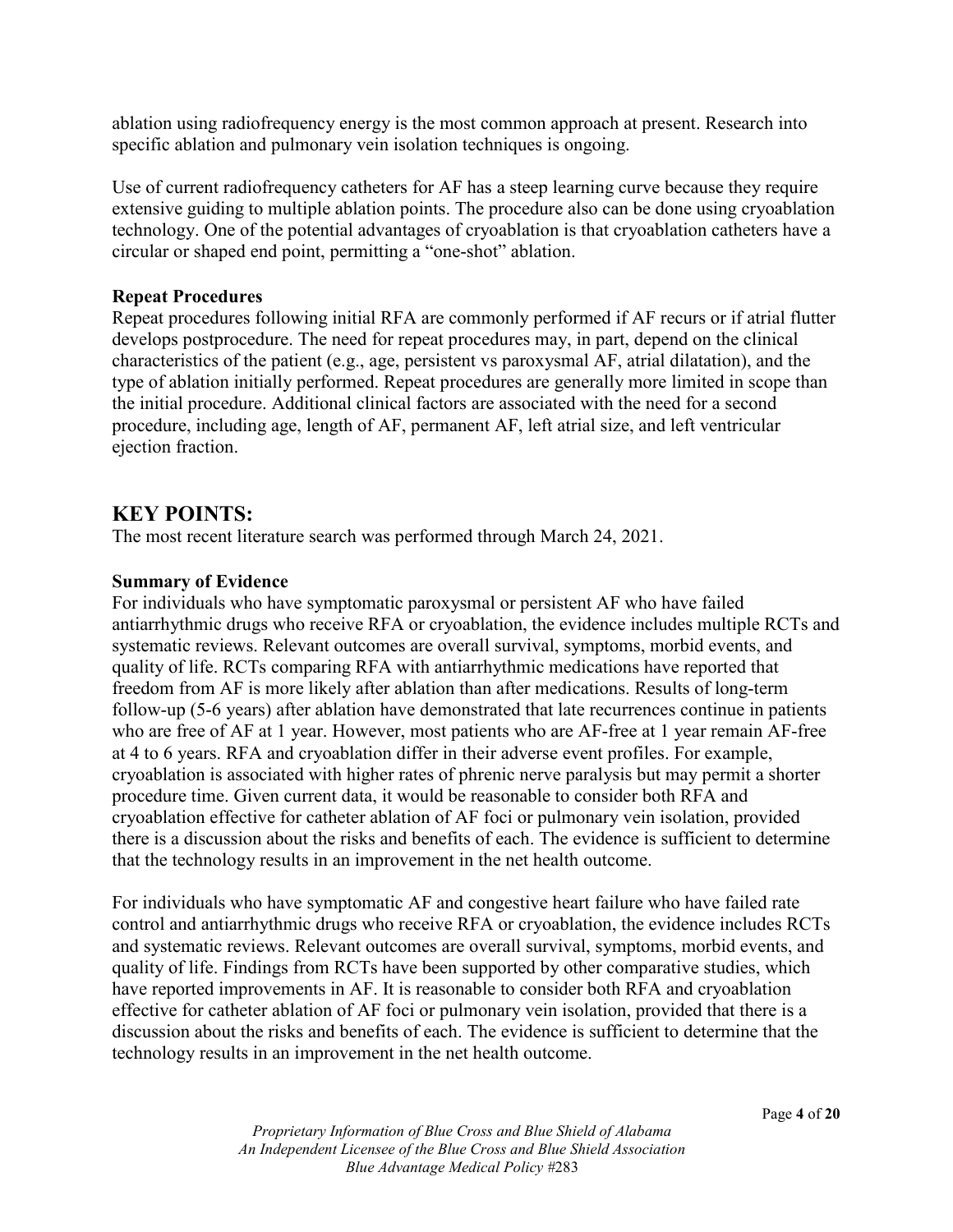ablation using radiofrequency energy is the most common approach at present. Research into specific ablation and pulmonary vein isolation techniques is ongoing.

Use of current radiofrequency catheters for AF has a steep learning curve because they require extensive guiding to multiple ablation points. The procedure also can be done using cryoablation technology. One of the potential advantages of cryoablation is that cryoablation catheters have a circular or shaped end point, permitting a "one-shot" ablation.

#### **Repeat Procedures**

Repeat procedures following initial RFA are commonly performed if AF recurs or if atrial flutter develops postprocedure. The need for repeat procedures may, in part, depend on the clinical characteristics of the patient (e.g., age, persistent vs paroxysmal AF, atrial dilatation), and the type of ablation initially performed. Repeat procedures are generally more limited in scope than the initial procedure. Additional clinical factors are associated with the need for a second procedure, including age, length of AF, permanent AF, left atrial size, and left ventricular ejection fraction.

#### **KEY POINTS:**

The most recent literature search was performed through March 24, 2021.

#### **Summary of Evidence**

For individuals who have symptomatic paroxysmal or persistent AF who have failed antiarrhythmic drugs who receive RFA or cryoablation, the evidence includes multiple RCTs and systematic reviews. Relevant outcomes are overall survival, symptoms, morbid events, and quality of life. RCTs comparing RFA with antiarrhythmic medications have reported that freedom from AF is more likely after ablation than after medications. Results of long-term follow-up (5-6 years) after ablation have demonstrated that late recurrences continue in patients who are free of AF at 1 year. However, most patients who are AF-free at 1 year remain AF-free at 4 to 6 years. RFA and cryoablation differ in their adverse event profiles. For example, cryoablation is associated with higher rates of phrenic nerve paralysis but may permit a shorter procedure time. Given current data, it would be reasonable to consider both RFA and cryoablation effective for catheter ablation of AF foci or pulmonary vein isolation, provided there is a discussion about the risks and benefits of each. The evidence is sufficient to determine that the technology results in an improvement in the net health outcome.

For individuals who have symptomatic AF and congestive heart failure who have failed rate control and antiarrhythmic drugs who receive RFA or cryoablation, the evidence includes RCTs and systematic reviews. Relevant outcomes are overall survival, symptoms, morbid events, and quality of life. Findings from RCTs have been supported by other comparative studies, which have reported improvements in AF. It is reasonable to consider both RFA and cryoablation effective for catheter ablation of AF foci or pulmonary vein isolation, provided that there is a discussion about the risks and benefits of each. The evidence is sufficient to determine that the technology results in an improvement in the net health outcome.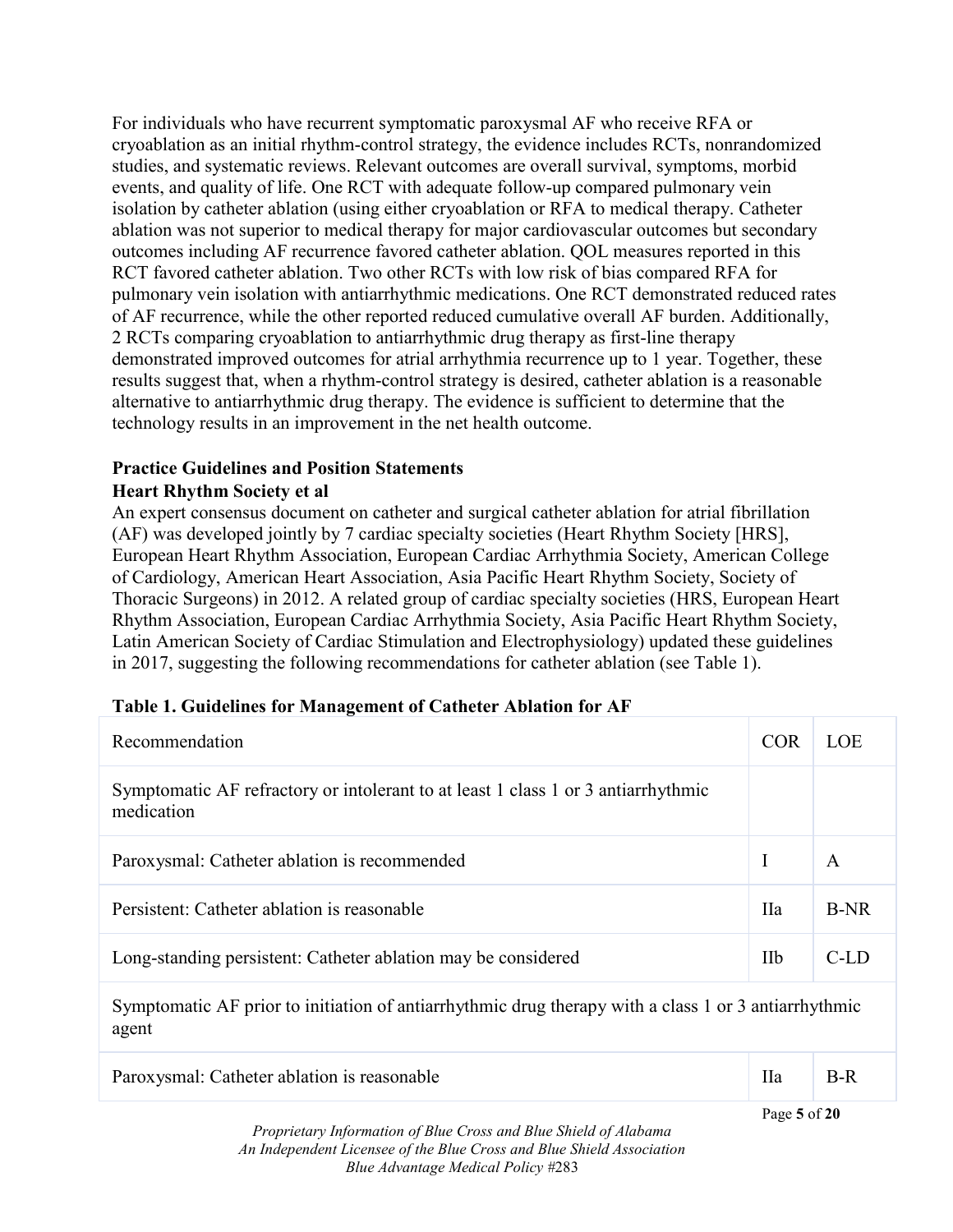For individuals who have recurrent symptomatic paroxysmal AF who receive RFA or cryoablation as an initial rhythm-control strategy, the evidence includes RCTs, nonrandomized studies, and systematic reviews. Relevant outcomes are overall survival, symptoms, morbid events, and quality of life. One RCT with adequate follow-up compared pulmonary vein isolation by catheter ablation (using either cryoablation or RFA to medical therapy. Catheter ablation was not superior to medical therapy for major cardiovascular outcomes but secondary outcomes including AF recurrence favored catheter ablation. QOL measures reported in this RCT favored catheter ablation. Two other RCTs with low risk of bias compared RFA for pulmonary vein isolation with antiarrhythmic medications. One RCT demonstrated reduced rates of AF recurrence, while the other reported reduced cumulative overall AF burden. Additionally, 2 RCTs comparing cryoablation to antiarrhythmic drug therapy as first-line therapy demonstrated improved outcomes for atrial arrhythmia recurrence up to 1 year. Together, these results suggest that, when a rhythm-control strategy is desired, catheter ablation is a reasonable alternative to antiarrhythmic drug therapy. The evidence is sufficient to determine that the technology results in an improvement in the net health outcome.

#### **Practice Guidelines and Position Statements Heart Rhythm Society et al**

An expert consensus document on catheter and surgical catheter ablation for atrial fibrillation (AF) was developed jointly by 7 cardiac specialty societies (Heart Rhythm Society [HRS], European Heart Rhythm Association, European Cardiac Arrhythmia Society, American College of Cardiology, American Heart Association, Asia Pacific Heart Rhythm Society, Society of Thoracic Surgeons) in 2012. A related group of cardiac specialty societies (HRS, European Heart Rhythm Association, European Cardiac Arrhythmia Society, Asia Pacific Heart Rhythm Society, Latin American Society of Cardiac Stimulation and Electrophysiology) updated these guidelines in 2017, suggesting the following recommendations for catheter ablation (see Table 1).

| Recommendation                                                                                       | <b>COR</b> | LOE         |
|------------------------------------------------------------------------------------------------------|------------|-------------|
| Symptomatic AF refractory or intolerant to at least 1 class 1 or 3 antiarrhythmic<br>medication      |            |             |
| Paroxysmal: Catheter ablation is recommended                                                         | I          | A           |
| Persistent: Catheter ablation is reasonable                                                          | <b>IIa</b> | <b>B-NR</b> |
| Long-standing persistent: Catheter ablation may be considered                                        | <b>IIb</b> | $C$ -LD     |
| Symptomatic AF prior to initiation of antiarrhythmic drug therapy with a class 1 or 3 antiarrhythmic |            |             |

#### **Table 1. Guidelines for Management of Catheter Ablation for AF**

Symptomatic AF prior to initiation of antiarrhythmic drug therapy with a class 1 or 3 antiarrhythmic agent

| Paroxysmal: Catheter ablation is reasonable | $R$ -R |
|---------------------------------------------|--------|
|                                             |        |

*Proprietary Information of Blue Cross and Blue Shield of Alabama An Independent Licensee of the Blue Cross and Blue Shield Association Blue Advantage Medical Policy #*283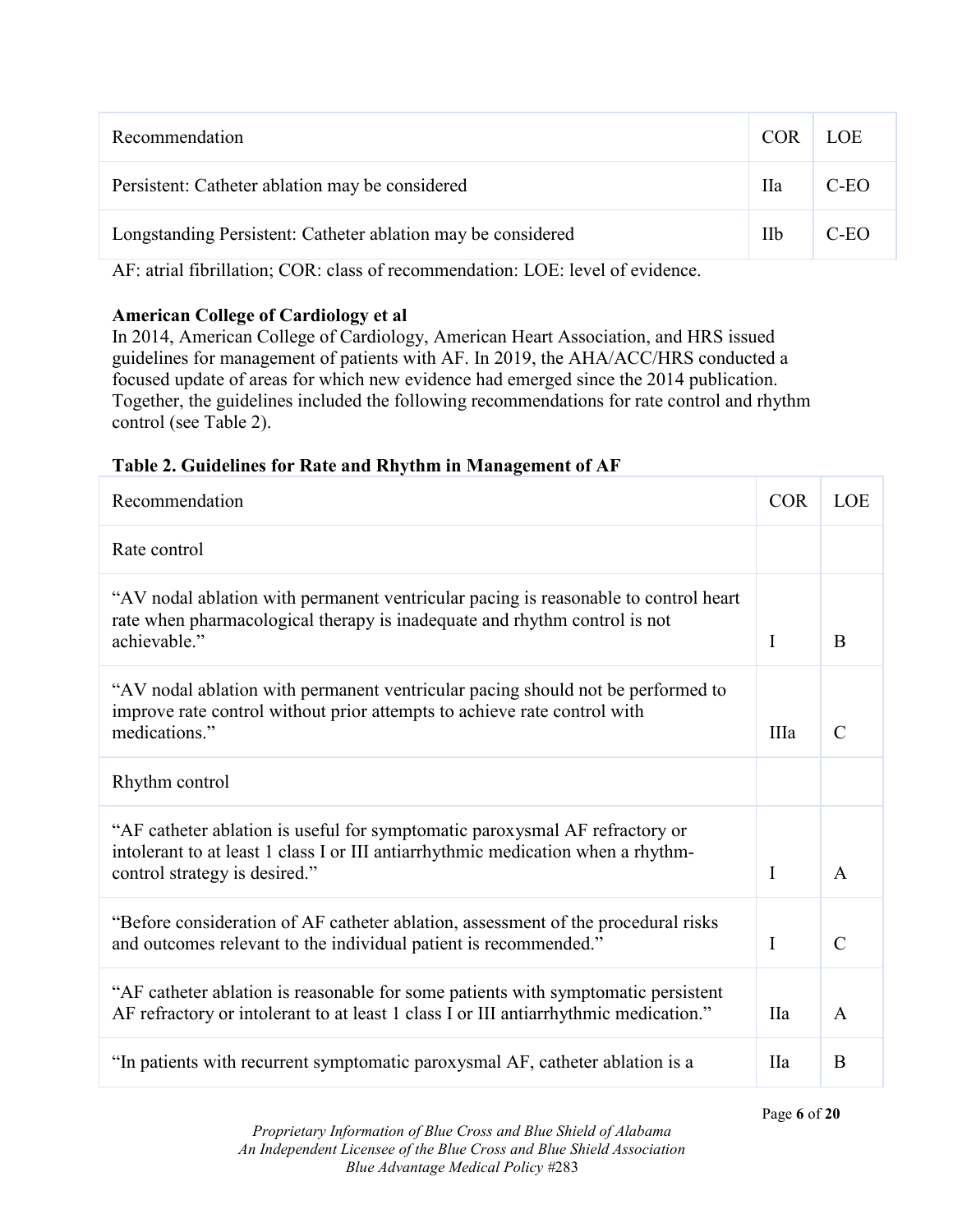| Recommendation                                               | COR        | <b>LOE</b> |
|--------------------------------------------------------------|------------|------------|
| Persistent: Catheter ablation may be considered              | <b>IIa</b> | $C-EO$     |
| Longstanding Persistent: Catheter ablation may be considered | Пb         | C-EO       |

AF: atrial fibrillation; COR: class of recommendation: LOE: level of evidence.

#### **American College of Cardiology et al**

In 2014, American College of Cardiology, American Heart Association, and HRS issued guidelines for management of patients with AF. In 2019, the AHA/ACC/HRS conducted a focused update of areas for which new evidence had emerged since the 2014 publication. Together, the guidelines included the following recommendations for rate control and rhythm control (see Table 2).

#### **Table 2. Guidelines for Rate and Rhythm in Management of AF**

| Recommendation                                                                                                                                                                                   | <b>COR</b> | <b>LOE</b>     |
|--------------------------------------------------------------------------------------------------------------------------------------------------------------------------------------------------|------------|----------------|
| Rate control                                                                                                                                                                                     |            |                |
| "AV nodal ablation with permanent ventricular pacing is reasonable to control heart<br>rate when pharmacological therapy is inadequate and rhythm control is not<br>achievable."                 | I          | B              |
| "AV nodal ablation with permanent ventricular pacing should not be performed to<br>improve rate control without prior attempts to achieve rate control with<br>medications."                     | IIIa       | $\mathcal{C}$  |
| Rhythm control                                                                                                                                                                                   |            |                |
| "AF catheter ablation is useful for symptomatic paroxysmal AF refractory or<br>intolerant to at least 1 class I or III antiarrhythmic medication when a rhythm-<br>control strategy is desired." | I          | $\overline{A}$ |
| "Before consideration of AF catheter ablation, assessment of the procedural risks<br>and outcomes relevant to the individual patient is recommended."                                            | I          | $\mathcal{C}$  |
| "AF catheter ablation is reasonable for some patients with symptomatic persistent<br>AF refractory or intolerant to at least 1 class I or III antiarrhythmic medication."                        | <b>IIa</b> | $\mathsf{A}$   |
| "In patients with recurrent symptomatic paroxysmal AF, catheter ablation is a                                                                                                                    | <b>IIa</b> | B              |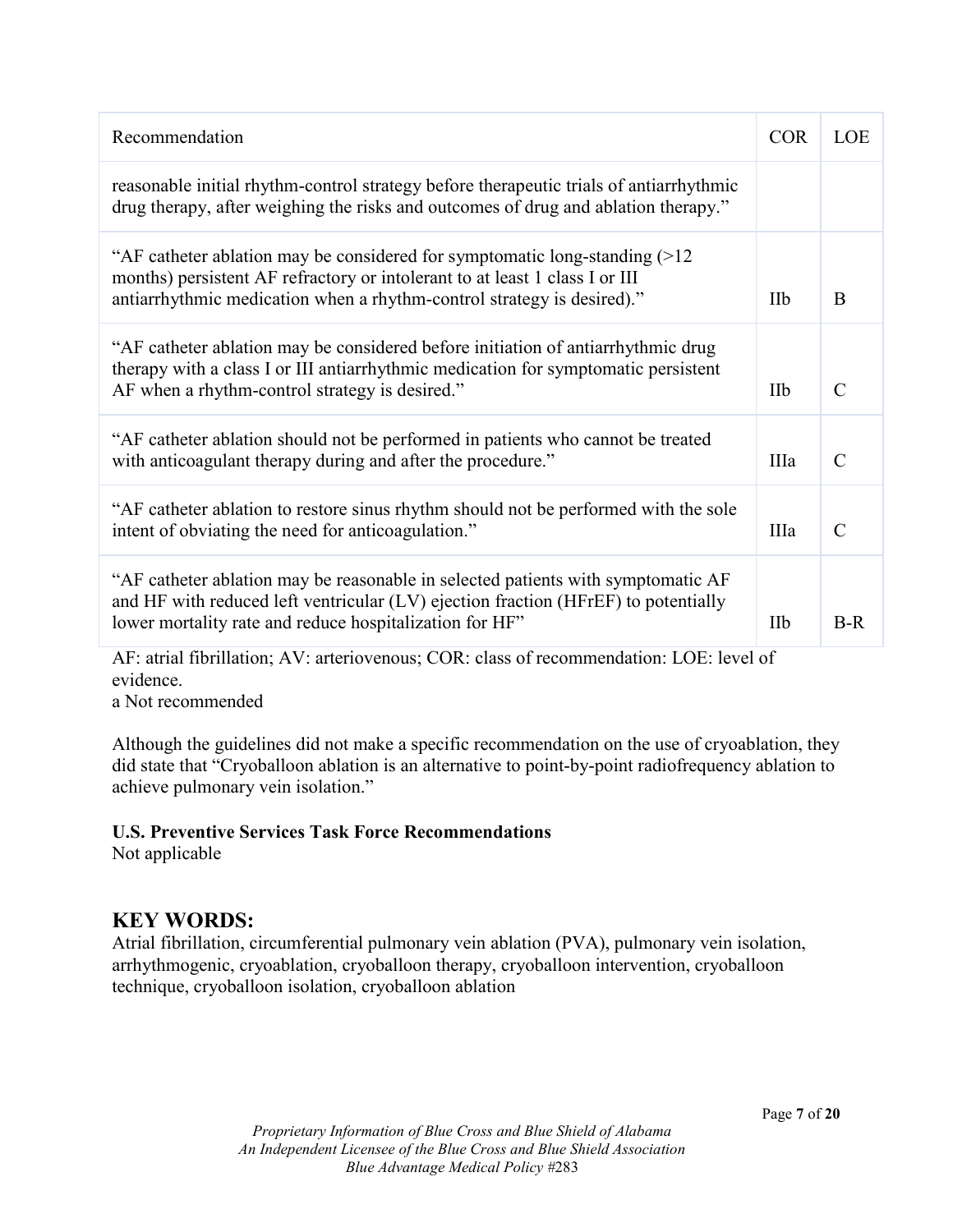| Recommendation                                                                                                                                                                                                                        | <b>COR</b> | <b>LOE</b>    |
|---------------------------------------------------------------------------------------------------------------------------------------------------------------------------------------------------------------------------------------|------------|---------------|
| reasonable initial rhythm-control strategy before therapeutic trials of antiarrhythmic<br>drug therapy, after weighing the risks and outcomes of drug and ablation therapy."                                                          |            |               |
| "AF catheter ablation may be considered for symptomatic long-standing $(>12$<br>months) persistent AF refractory or intolerant to at least 1 class I or III<br>antiarrhythmic medication when a rhythm-control strategy is desired)." | <b>IIb</b> | B             |
| "AF catheter ablation may be considered before initiation of antiarrhythmic drug<br>therapy with a class I or III antiarrhythmic medication for symptomatic persistent<br>AF when a rhythm-control strategy is desired."              | IIb        | $\mathcal{C}$ |
| "AF catheter ablation should not be performed in patients who cannot be treated<br>with anticoagulant therapy during and after the procedure."                                                                                        | IIIa       | $\mathcal{C}$ |
| "AF catheter ablation to restore sinus rhythm should not be performed with the sole<br>intent of obviating the need for anticoagulation."                                                                                             | IIIa       | $\mathcal{C}$ |
| "AF catheter ablation may be reasonable in selected patients with symptomatic AF<br>and HF with reduced left ventricular (LV) ejection fraction (HFrEF) to potentially<br>lower mortality rate and reduce hospitalization for HF"     | <b>IIb</b> | $B-R$         |

AF: atrial fibrillation; AV: arteriovenous; COR: class of recommendation: LOE: level of evidence.

a Not recommended

Although the guidelines did not make a specific recommendation on the use of cryoablation, they did state that "Cryoballoon ablation is an alternative to point-by-point radiofrequency ablation to achieve pulmonary vein isolation."

#### **U.S. Preventive Services Task Force Recommendations**

Not applicable

## **KEY WORDS:**

Atrial fibrillation, circumferential pulmonary vein ablation (PVA), pulmonary vein isolation, arrhythmogenic, cryoablation, cryoballoon therapy, cryoballoon intervention, cryoballoon technique, cryoballoon isolation, cryoballoon ablation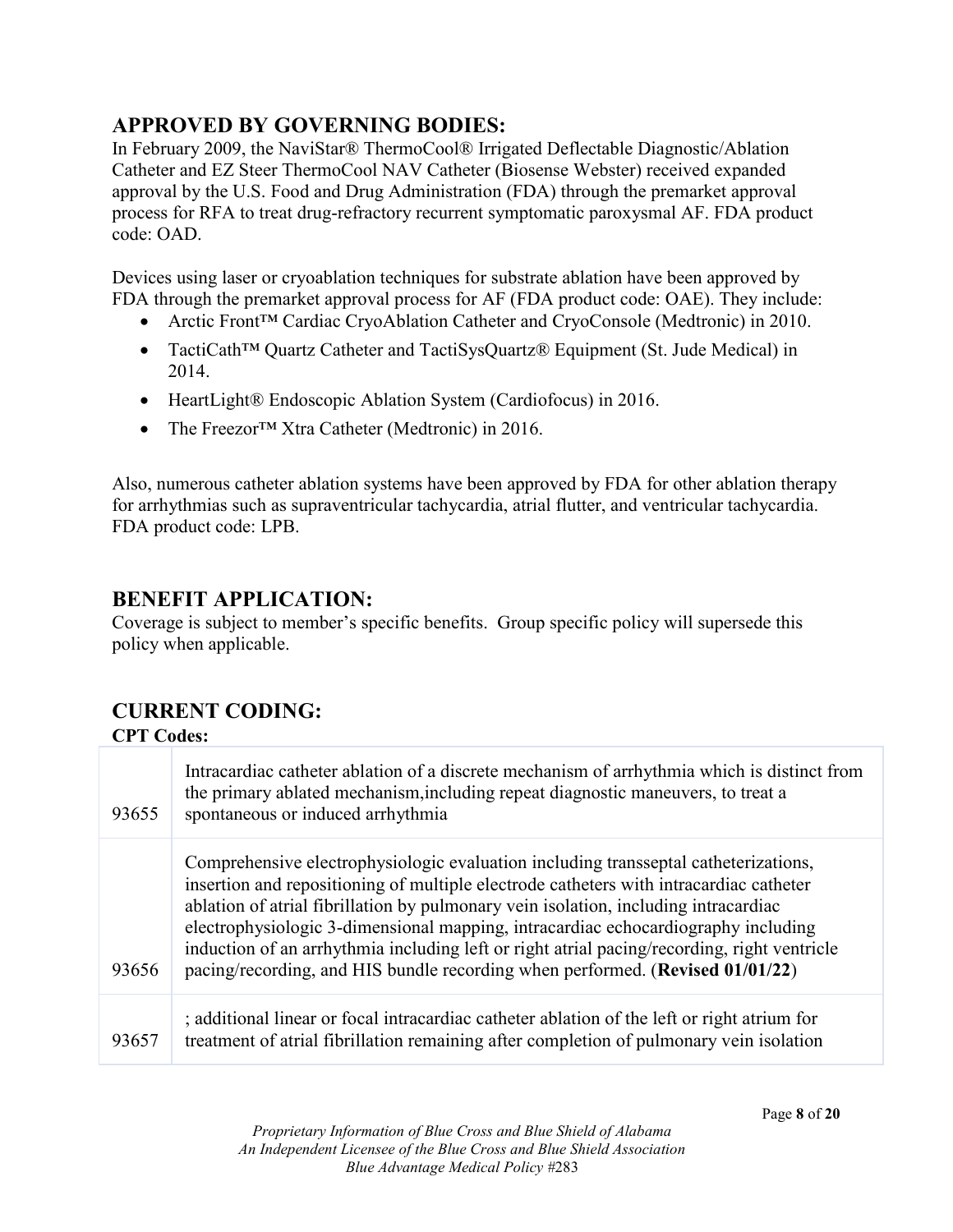# **APPROVED BY GOVERNING BODIES:**

In February 2009, the NaviStar® ThermoCool® Irrigated Deflectable Diagnostic/Ablation Catheter and EZ Steer ThermoCool NAV Catheter (Biosense Webster) received expanded approval by the U.S. Food and Drug Administration (FDA) through the premarket approval process for RFA to treat drug-refractory recurrent symptomatic paroxysmal AF. FDA product code: OAD.

Devices using laser or cryoablation techniques for substrate ablation have been approved by FDA through the premarket approval process for AF (FDA product code: OAE). They include:

- Arctic Front™ Cardiac CryoAblation Catheter and CryoConsole (Medtronic) in 2010.
- TactiCath™ Quartz Catheter and TactiSysQuartz® Equipment (St. Jude Medical) in 2014.
- HeartLight® Endoscopic Ablation System (Cardiofocus) in 2016.
- The Freezor<sup>TM</sup> Xtra Catheter (Medtronic) in 2016.

Also, numerous catheter ablation systems have been approved by FDA for other ablation therapy for arrhythmias such as supraventricular tachycardia, atrial flutter, and ventricular tachycardia. FDA product code: LPB.

### **BENEFIT APPLICATION:**

Coverage is subject to member's specific benefits. Group specific policy will supersede this policy when applicable.

# **CURRENT CODING:**

#### **CPT Codes:**

| 93655 | Intracardiac catheter ablation of a discrete mechanism of arrhythmia which is distinct from<br>the primary ablated mechanism, including repeat diagnostic maneuvers, to treat a<br>spontaneous or induced arrhythmia                                                                                                                                                                                                                                                                                                                      |
|-------|-------------------------------------------------------------------------------------------------------------------------------------------------------------------------------------------------------------------------------------------------------------------------------------------------------------------------------------------------------------------------------------------------------------------------------------------------------------------------------------------------------------------------------------------|
| 93656 | Comprehensive electrophysiologic evaluation including transseptal catheterizations,<br>insertion and repositioning of multiple electrode catheters with intracardiac catheter<br>ablation of atrial fibrillation by pulmonary vein isolation, including intracardiac<br>electrophysiologic 3-dimensional mapping, intracardiac echocardiography including<br>induction of an arrhythmia including left or right atrial pacing/recording, right ventricle<br>pacing/recording, and HIS bundle recording when performed. (Revised 01/01/22) |
| 93657 | ; additional linear or focal intracardiac catheter ablation of the left or right atrium for<br>treatment of atrial fibrillation remaining after completion of pulmonary vein isolation                                                                                                                                                                                                                                                                                                                                                    |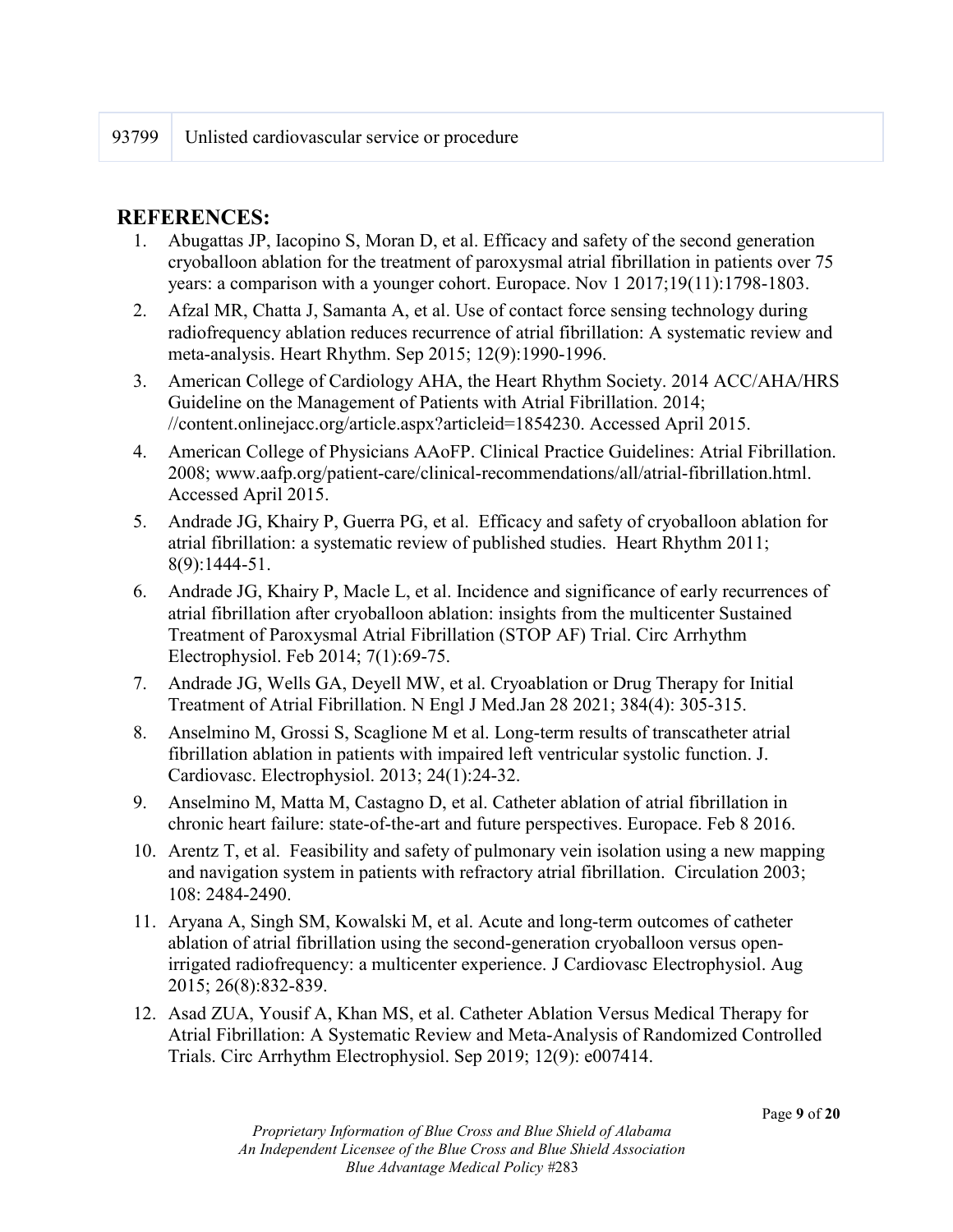## **REFERENCES:**

- 1. Abugattas JP, Iacopino S, Moran D, et al. Efficacy and safety of the second generation cryoballoon ablation for the treatment of paroxysmal atrial fibrillation in patients over 75 years: a comparison with a younger cohort. Europace. Nov 1 2017;19(11):1798-1803.
- 2. Afzal MR, Chatta J, Samanta A, et al. Use of contact force sensing technology during radiofrequency ablation reduces recurrence of atrial fibrillation: A systematic review and meta-analysis. Heart Rhythm. Sep 2015; 12(9):1990-1996.
- 3. American College of Cardiology AHA, the Heart Rhythm Society. 2014 ACC/AHA/HRS Guideline on the Management of Patients with Atrial Fibrillation. 2014; //content.onlinejacc.org/article.aspx?articleid=1854230. Accessed April 2015.
- 4. American College of Physicians AAoFP. Clinical Practice Guidelines: Atrial Fibrillation. 2008; www.aafp.org/patient-care/clinical-recommendations/all/atrial-fibrillation.html. Accessed April 2015.
- 5. Andrade JG, Khairy P, Guerra PG, et al. Efficacy and safety of cryoballoon ablation for atrial fibrillation: a systematic review of published studies. Heart Rhythm 2011; 8(9):1444-51.
- 6. Andrade JG, Khairy P, Macle L, et al. Incidence and significance of early recurrences of atrial fibrillation after cryoballoon ablation: insights from the multicenter Sustained Treatment of Paroxysmal Atrial Fibrillation (STOP AF) Trial. Circ Arrhythm Electrophysiol. Feb 2014; 7(1):69-75.
- 7. Andrade JG, Wells GA, Deyell MW, et al. Cryoablation or Drug Therapy for Initial Treatment of Atrial Fibrillation. N Engl J Med.Jan 28 2021; 384(4): 305-315.
- 8. Anselmino M, Grossi S, Scaglione M et al. Long-term results of transcatheter atrial fibrillation ablation in patients with impaired left ventricular systolic function. J. Cardiovasc. Electrophysiol. 2013; 24(1):24-32.
- 9. Anselmino M, Matta M, Castagno D, et al. Catheter ablation of atrial fibrillation in chronic heart failure: state-of-the-art and future perspectives. Europace. Feb 8 2016.
- 10. Arentz T, et al. Feasibility and safety of pulmonary vein isolation using a new mapping and navigation system in patients with refractory atrial fibrillation. Circulation 2003; 108: 2484-2490.
- 11. Aryana A, Singh SM, Kowalski M, et al. Acute and long-term outcomes of catheter ablation of atrial fibrillation using the second-generation cryoballoon versus openirrigated radiofrequency: a multicenter experience. J Cardiovasc Electrophysiol. Aug 2015; 26(8):832-839.
- 12. Asad ZUA, Yousif A, Khan MS, et al. Catheter Ablation Versus Medical Therapy for Atrial Fibrillation: A Systematic Review and Meta-Analysis of Randomized Controlled Trials. Circ Arrhythm Electrophysiol. Sep 2019; 12(9): e007414.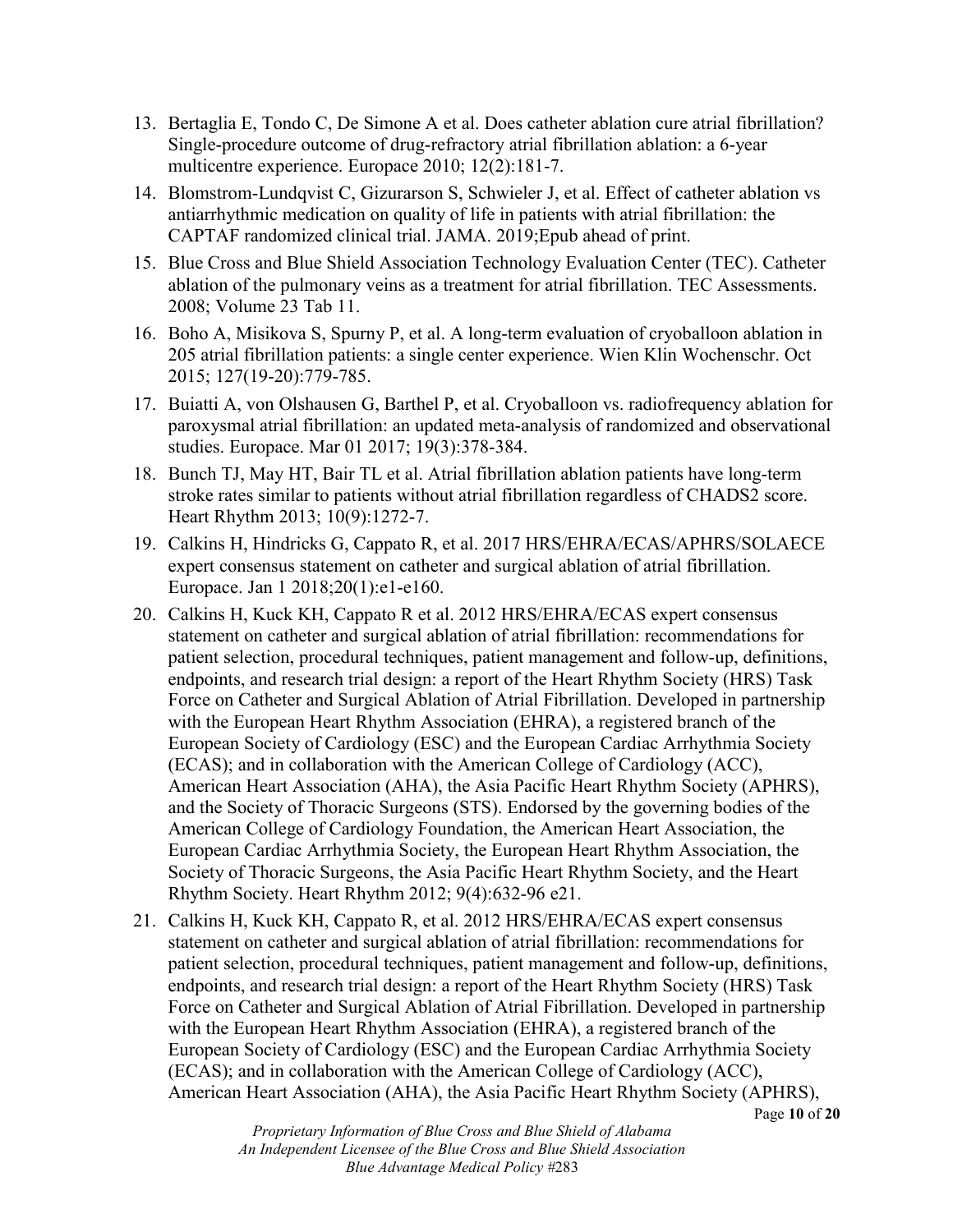- 13. Bertaglia E, Tondo C, De Simone A et al. Does catheter ablation cure atrial fibrillation? Single-procedure outcome of drug-refractory atrial fibrillation ablation: a 6-year multicentre experience. Europace 2010; 12(2):181-7.
- 14. Blomstrom-Lundqvist C, Gizurarson S, Schwieler J, et al. Effect of catheter ablation vs antiarrhythmic medication on quality of life in patients with atrial fibrillation: the CAPTAF randomized clinical trial. JAMA. 2019;Epub ahead of print.
- 15. Blue Cross and Blue Shield Association Technology Evaluation Center (TEC). Catheter ablation of the pulmonary veins as a treatment for atrial fibrillation. TEC Assessments. 2008; Volume 23 Tab 11.
- 16. Boho A, Misikova S, Spurny P, et al. A long-term evaluation of cryoballoon ablation in 205 atrial fibrillation patients: a single center experience. Wien Klin Wochenschr. Oct 2015; 127(19-20):779-785.
- 17. Buiatti A, von Olshausen G, Barthel P, et al. Cryoballoon vs. radiofrequency ablation for paroxysmal atrial fibrillation: an updated meta-analysis of randomized and observational studies. Europace. Mar 01 2017; 19(3):378-384.
- 18. Bunch TJ, May HT, Bair TL et al. Atrial fibrillation ablation patients have long-term stroke rates similar to patients without atrial fibrillation regardless of CHADS2 score. Heart Rhythm 2013; 10(9):1272-7.
- 19. Calkins H, Hindricks G, Cappato R, et al. 2017 HRS/EHRA/ECAS/APHRS/SOLAECE expert consensus statement on catheter and surgical ablation of atrial fibrillation. Europace. Jan 1 2018;20(1):e1-e160.
- 20. Calkins H, Kuck KH, Cappato R et al. 2012 HRS/EHRA/ECAS expert consensus statement on catheter and surgical ablation of atrial fibrillation: recommendations for patient selection, procedural techniques, patient management and follow-up, definitions, endpoints, and research trial design: a report of the Heart Rhythm Society (HRS) Task Force on Catheter and Surgical Ablation of Atrial Fibrillation. Developed in partnership with the European Heart Rhythm Association (EHRA), a registered branch of the European Society of Cardiology (ESC) and the European Cardiac Arrhythmia Society (ECAS); and in collaboration with the American College of Cardiology (ACC), American Heart Association (AHA), the Asia Pacific Heart Rhythm Society (APHRS), and the Society of Thoracic Surgeons (STS). Endorsed by the governing bodies of the American College of Cardiology Foundation, the American Heart Association, the European Cardiac Arrhythmia Society, the European Heart Rhythm Association, the Society of Thoracic Surgeons, the Asia Pacific Heart Rhythm Society, and the Heart Rhythm Society. Heart Rhythm 2012; 9(4):632-96 e21.
- 21. Calkins H, Kuck KH, Cappato R, et al. 2012 HRS/EHRA/ECAS expert consensus statement on catheter and surgical ablation of atrial fibrillation: recommendations for patient selection, procedural techniques, patient management and follow-up, definitions, endpoints, and research trial design: a report of the Heart Rhythm Society (HRS) Task Force on Catheter and Surgical Ablation of Atrial Fibrillation. Developed in partnership with the European Heart Rhythm Association (EHRA), a registered branch of the European Society of Cardiology (ESC) and the European Cardiac Arrhythmia Society (ECAS); and in collaboration with the American College of Cardiology (ACC), American Heart Association (AHA), the Asia Pacific Heart Rhythm Society (APHRS),

Page **10** of **20**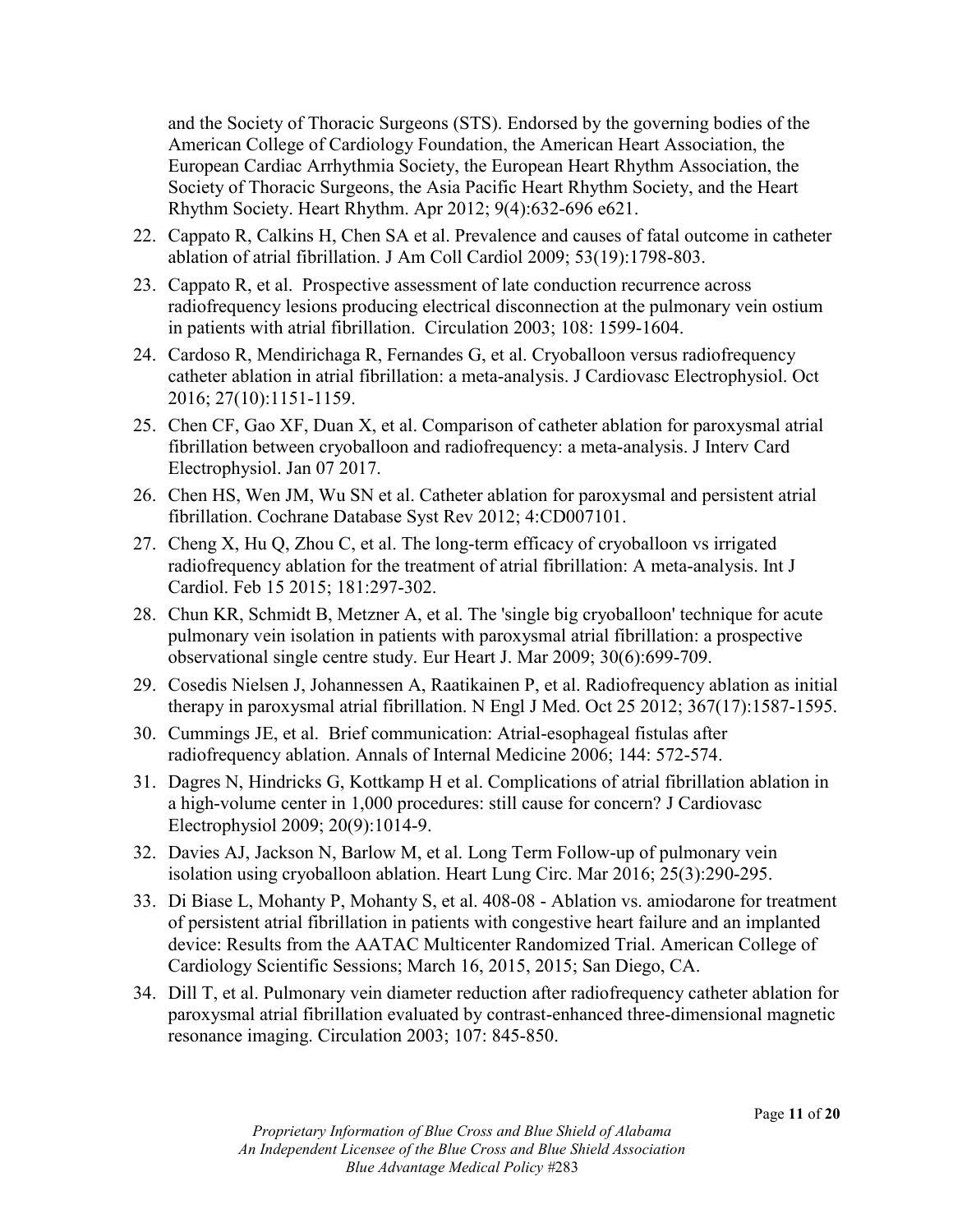and the Society of Thoracic Surgeons (STS). Endorsed by the governing bodies of the American College of Cardiology Foundation, the American Heart Association, the European Cardiac Arrhythmia Society, the European Heart Rhythm Association, the Society of Thoracic Surgeons, the Asia Pacific Heart Rhythm Society, and the Heart Rhythm Society. Heart Rhythm. Apr 2012; 9(4):632-696 e621.

- 22. Cappato R, Calkins H, Chen SA et al. Prevalence and causes of fatal outcome in catheter ablation of atrial fibrillation. J Am Coll Cardiol 2009; 53(19):1798-803.
- 23. Cappato R, et al. Prospective assessment of late conduction recurrence across radiofrequency lesions producing electrical disconnection at the pulmonary vein ostium in patients with atrial fibrillation. Circulation 2003; 108: 1599-1604.
- 24. Cardoso R, Mendirichaga R, Fernandes G, et al. Cryoballoon versus radiofrequency catheter ablation in atrial fibrillation: a meta-analysis. J Cardiovasc Electrophysiol. Oct 2016; 27(10):1151-1159.
- 25. Chen CF, Gao XF, Duan X, et al. Comparison of catheter ablation for paroxysmal atrial fibrillation between cryoballoon and radiofrequency: a meta-analysis. J Interv Card Electrophysiol. Jan 07 2017.
- 26. Chen HS, Wen JM, Wu SN et al. Catheter ablation for paroxysmal and persistent atrial fibrillation. Cochrane Database Syst Rev 2012; 4:CD007101.
- 27. Cheng X, Hu Q, Zhou C, et al. The long-term efficacy of cryoballoon vs irrigated radiofrequency ablation for the treatment of atrial fibrillation: A meta-analysis. Int J Cardiol. Feb 15 2015; 181:297-302.
- 28. Chun KR, Schmidt B, Metzner A, et al. The 'single big cryoballoon' technique for acute pulmonary vein isolation in patients with paroxysmal atrial fibrillation: a prospective observational single centre study. Eur Heart J. Mar 2009; 30(6):699-709.
- 29. Cosedis Nielsen J, Johannessen A, Raatikainen P, et al. Radiofrequency ablation as initial therapy in paroxysmal atrial fibrillation. N Engl J Med. Oct 25 2012; 367(17):1587-1595.
- 30. Cummings JE, et al. Brief communication: Atrial-esophageal fistulas after radiofrequency ablation. Annals of Internal Medicine 2006; 144: 572-574.
- 31. Dagres N, Hindricks G, Kottkamp H et al. Complications of atrial fibrillation ablation in a high-volume center in 1,000 procedures: still cause for concern? J Cardiovasc Electrophysiol 2009; 20(9):1014-9.
- 32. Davies AJ, Jackson N, Barlow M, et al. Long Term Follow-up of pulmonary vein isolation using cryoballoon ablation. Heart Lung Circ. Mar 2016; 25(3):290-295.
- 33. Di Biase L, Mohanty P, Mohanty S, et al. 408-08 Ablation vs. amiodarone for treatment of persistent atrial fibrillation in patients with congestive heart failure and an implanted device: Results from the AATAC Multicenter Randomized Trial. American College of Cardiology Scientific Sessions; March 16, 2015, 2015; San Diego, CA.
- 34. Dill T, et al. Pulmonary vein diameter reduction after radiofrequency catheter ablation for paroxysmal atrial fibrillation evaluated by contrast-enhanced three-dimensional magnetic resonance imaging. Circulation 2003; 107: 845-850.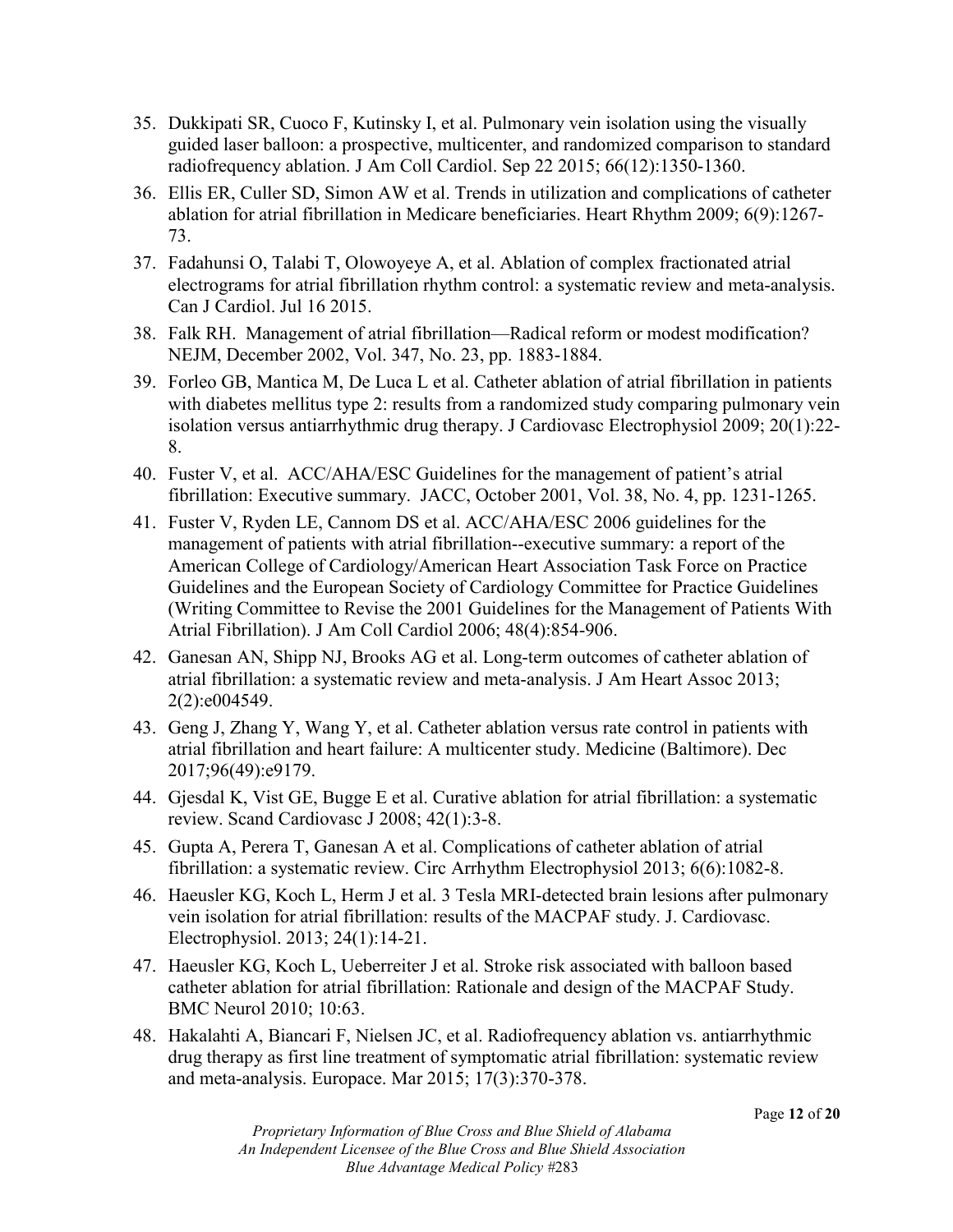- 35. Dukkipati SR, Cuoco F, Kutinsky I, et al. Pulmonary vein isolation using the visually guided laser balloon: a prospective, multicenter, and randomized comparison to standard radiofrequency ablation. J Am Coll Cardiol. Sep 22 2015; 66(12):1350-1360.
- 36. Ellis ER, Culler SD, Simon AW et al. Trends in utilization and complications of catheter ablation for atrial fibrillation in Medicare beneficiaries. Heart Rhythm 2009; 6(9):1267- 73.
- 37. Fadahunsi O, Talabi T, Olowoyeye A, et al. Ablation of complex fractionated atrial electrograms for atrial fibrillation rhythm control: a systematic review and meta-analysis. Can J Cardiol. Jul 16 2015.
- 38. Falk RH. Management of atrial fibrillation—Radical reform or modest modification? NEJM, December 2002, Vol. 347, No. 23, pp. 1883-1884.
- 39. Forleo GB, Mantica M, De Luca L et al. Catheter ablation of atrial fibrillation in patients with diabetes mellitus type 2: results from a randomized study comparing pulmonary vein isolation versus antiarrhythmic drug therapy. J Cardiovasc Electrophysiol 2009; 20(1):22- 8.
- 40. Fuster V, et al. ACC/AHA/ESC Guidelines for the management of patient's atrial fibrillation: Executive summary. JACC, October 2001, Vol. 38, No. 4, pp. 1231-1265.
- 41. Fuster V, Ryden LE, Cannom DS et al. ACC/AHA/ESC 2006 guidelines for the management of patients with atrial fibrillation--executive summary: a report of the American College of Cardiology/American Heart Association Task Force on Practice Guidelines and the European Society of Cardiology Committee for Practice Guidelines (Writing Committee to Revise the 2001 Guidelines for the Management of Patients With Atrial Fibrillation). J Am Coll Cardiol 2006; 48(4):854-906.
- 42. Ganesan AN, Shipp NJ, Brooks AG et al. Long-term outcomes of catheter ablation of atrial fibrillation: a systematic review and meta-analysis. J Am Heart Assoc 2013; 2(2):e004549.
- 43. Geng J, Zhang Y, Wang Y, et al. Catheter ablation versus rate control in patients with atrial fibrillation and heart failure: A multicenter study. Medicine (Baltimore). Dec 2017;96(49):e9179.
- 44. Gjesdal K, Vist GE, Bugge E et al. Curative ablation for atrial fibrillation: a systematic review. Scand Cardiovasc J 2008; 42(1):3-8.
- 45. Gupta A, Perera T, Ganesan A et al. Complications of catheter ablation of atrial fibrillation: a systematic review. Circ Arrhythm Electrophysiol 2013; 6(6):1082-8.
- 46. Haeusler KG, Koch L, Herm J et al. 3 Tesla MRI-detected brain lesions after pulmonary vein isolation for atrial fibrillation: results of the MACPAF study. J. Cardiovasc. Electrophysiol. 2013; 24(1):14-21.
- 47. Haeusler KG, Koch L, Ueberreiter J et al. Stroke risk associated with balloon based catheter ablation for atrial fibrillation: Rationale and design of the MACPAF Study. BMC Neurol 2010; 10:63.
- 48. Hakalahti A, Biancari F, Nielsen JC, et al. Radiofrequency ablation vs. antiarrhythmic drug therapy as first line treatment of symptomatic atrial fibrillation: systematic review and meta-analysis. Europace. Mar 2015; 17(3):370-378.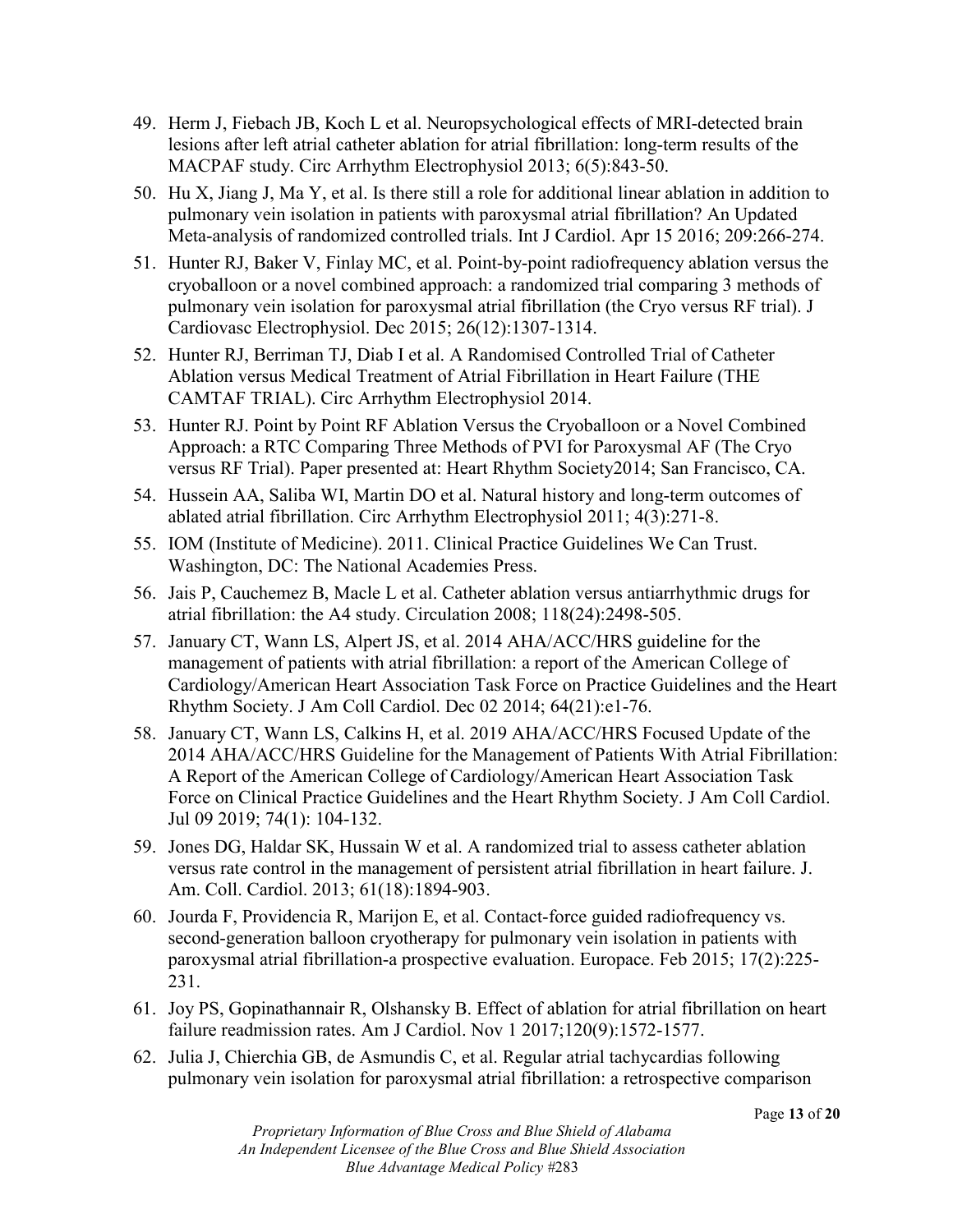- 49. Herm J, Fiebach JB, Koch L et al. Neuropsychological effects of MRI-detected brain lesions after left atrial catheter ablation for atrial fibrillation: long-term results of the MACPAF study. Circ Arrhythm Electrophysiol 2013; 6(5):843-50.
- 50. Hu X, Jiang J, Ma Y, et al. Is there still a role for additional linear ablation in addition to pulmonary vein isolation in patients with paroxysmal atrial fibrillation? An Updated Meta-analysis of randomized controlled trials. Int J Cardiol. Apr 15 2016; 209:266-274.
- 51. Hunter RJ, Baker V, Finlay MC, et al. Point-by-point radiofrequency ablation versus the cryoballoon or a novel combined approach: a randomized trial comparing 3 methods of pulmonary vein isolation for paroxysmal atrial fibrillation (the Cryo versus RF trial). J Cardiovasc Electrophysiol. Dec 2015; 26(12):1307-1314.
- 52. Hunter RJ, Berriman TJ, Diab I et al. A Randomised Controlled Trial of Catheter Ablation versus Medical Treatment of Atrial Fibrillation in Heart Failure (THE CAMTAF TRIAL). Circ Arrhythm Electrophysiol 2014.
- 53. Hunter RJ. Point by Point RF Ablation Versus the Cryoballoon or a Novel Combined Approach: a RTC Comparing Three Methods of PVI for Paroxysmal AF (The Cryo versus RF Trial). Paper presented at: Heart Rhythm Society2014; San Francisco, CA.
- 54. Hussein AA, Saliba WI, Martin DO et al. Natural history and long-term outcomes of ablated atrial fibrillation. Circ Arrhythm Electrophysiol 2011; 4(3):271-8.
- 55. IOM (Institute of Medicine). 2011. Clinical Practice Guidelines We Can Trust. Washington, DC: The National Academies Press.
- 56. Jais P, Cauchemez B, Macle L et al. Catheter ablation versus antiarrhythmic drugs for atrial fibrillation: the A4 study. Circulation 2008; 118(24):2498-505.
- 57. January CT, Wann LS, Alpert JS, et al. 2014 AHA/ACC/HRS guideline for the management of patients with atrial fibrillation: a report of the American College of Cardiology/American Heart Association Task Force on Practice Guidelines and the Heart Rhythm Society. J Am Coll Cardiol. Dec 02 2014; 64(21):e1-76.
- 58. January CT, Wann LS, Calkins H, et al. 2019 AHA/ACC/HRS Focused Update of the 2014 AHA/ACC/HRS Guideline for the Management of Patients With Atrial Fibrillation: A Report of the American College of Cardiology/American Heart Association Task Force on Clinical Practice Guidelines and the Heart Rhythm Society. J Am Coll Cardiol. Jul 09 2019; 74(1): 104-132.
- 59. Jones DG, Haldar SK, Hussain W et al. A randomized trial to assess catheter ablation versus rate control in the management of persistent atrial fibrillation in heart failure. J. Am. Coll. Cardiol. 2013; 61(18):1894-903.
- 60. Jourda F, Providencia R, Marijon E, et al. Contact-force guided radiofrequency vs. second-generation balloon cryotherapy for pulmonary vein isolation in patients with paroxysmal atrial fibrillation-a prospective evaluation. Europace. Feb 2015; 17(2):225- 231.
- 61. Joy PS, Gopinathannair R, Olshansky B. Effect of ablation for atrial fibrillation on heart failure readmission rates. Am J Cardiol. Nov 1 2017;120(9):1572-1577.
- 62. Julia J, Chierchia GB, de Asmundis C, et al. Regular atrial tachycardias following pulmonary vein isolation for paroxysmal atrial fibrillation: a retrospective comparison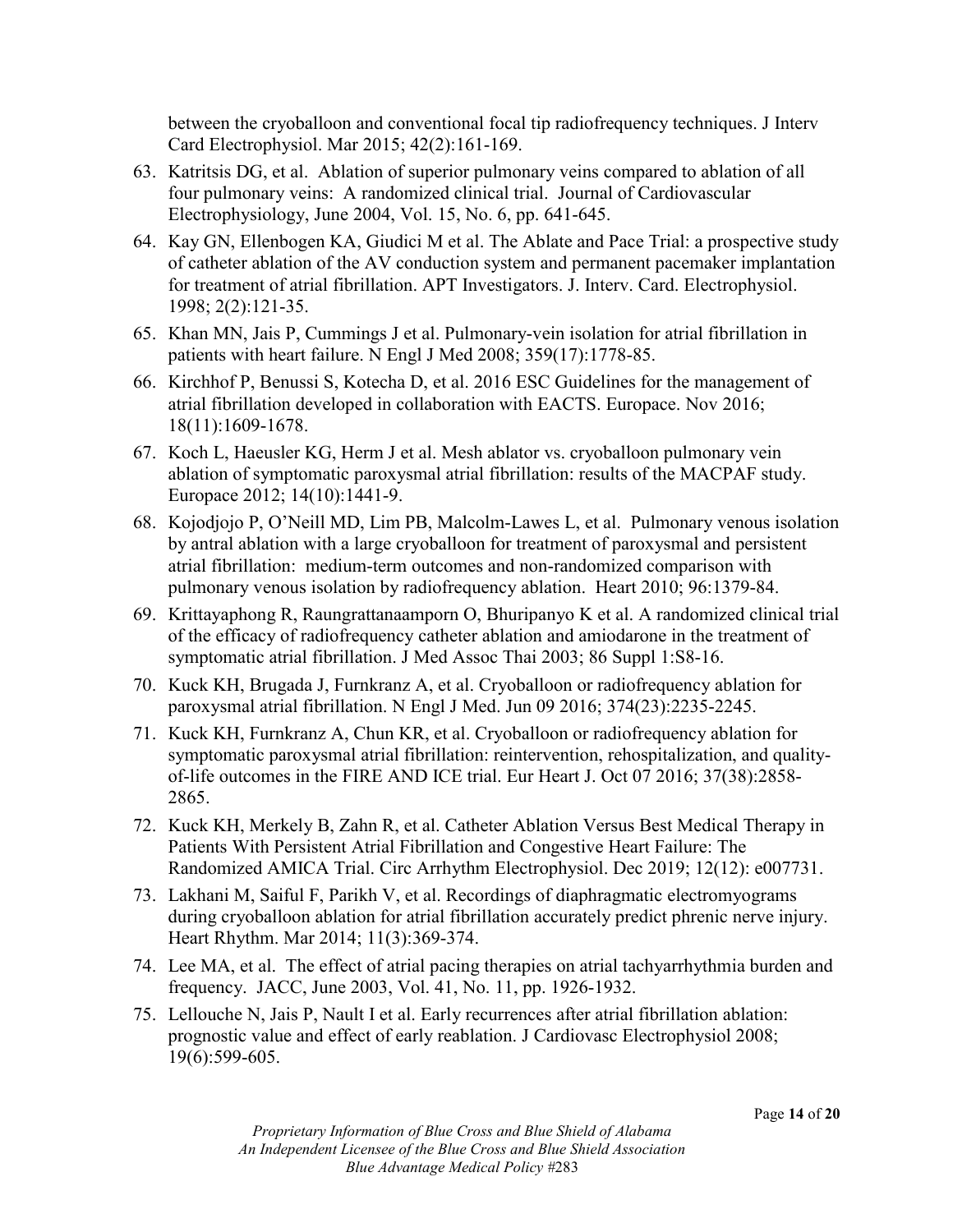between the cryoballoon and conventional focal tip radiofrequency techniques. J Interv Card Electrophysiol. Mar 2015; 42(2):161-169.

- 63. Katritsis DG, et al. Ablation of superior pulmonary veins compared to ablation of all four pulmonary veins: A randomized clinical trial. Journal of Cardiovascular Electrophysiology, June 2004, Vol. 15, No. 6, pp. 641-645.
- 64. Kay GN, Ellenbogen KA, Giudici M et al. The Ablate and Pace Trial: a prospective study of catheter ablation of the AV conduction system and permanent pacemaker implantation for treatment of atrial fibrillation. APT Investigators. J. Interv. Card. Electrophysiol. 1998; 2(2):121-35.
- 65. Khan MN, Jais P, Cummings J et al. Pulmonary-vein isolation for atrial fibrillation in patients with heart failure. N Engl J Med 2008; 359(17):1778-85.
- 66. Kirchhof P, Benussi S, Kotecha D, et al. 2016 ESC Guidelines for the management of atrial fibrillation developed in collaboration with EACTS. Europace. Nov 2016; 18(11):1609-1678.
- 67. Koch L, Haeusler KG, Herm J et al. Mesh ablator vs. cryoballoon pulmonary vein ablation of symptomatic paroxysmal atrial fibrillation: results of the MACPAF study. Europace 2012; 14(10):1441-9.
- 68. Kojodjojo P, O'Neill MD, Lim PB, Malcolm-Lawes L, et al. Pulmonary venous isolation by antral ablation with a large cryoballoon for treatment of paroxysmal and persistent atrial fibrillation: medium-term outcomes and non-randomized comparison with pulmonary venous isolation by radiofrequency ablation. Heart 2010; 96:1379-84.
- 69. Krittayaphong R, Raungrattanaamporn O, Bhuripanyo K et al. A randomized clinical trial of the efficacy of radiofrequency catheter ablation and amiodarone in the treatment of symptomatic atrial fibrillation. J Med Assoc Thai 2003; 86 Suppl 1:S8-16.
- 70. Kuck KH, Brugada J, Furnkranz A, et al. Cryoballoon or radiofrequency ablation for paroxysmal atrial fibrillation. N Engl J Med. Jun 09 2016; 374(23):2235-2245.
- 71. Kuck KH, Furnkranz A, Chun KR, et al. Cryoballoon or radiofrequency ablation for symptomatic paroxysmal atrial fibrillation: reintervention, rehospitalization, and qualityof-life outcomes in the FIRE AND ICE trial. Eur Heart J. Oct 07 2016; 37(38):2858- 2865.
- 72. Kuck KH, Merkely B, Zahn R, et al. Catheter Ablation Versus Best Medical Therapy in Patients With Persistent Atrial Fibrillation and Congestive Heart Failure: The Randomized AMICA Trial. Circ Arrhythm Electrophysiol. Dec 2019; 12(12): e007731.
- 73. Lakhani M, Saiful F, Parikh V, et al. Recordings of diaphragmatic electromyograms during cryoballoon ablation for atrial fibrillation accurately predict phrenic nerve injury. Heart Rhythm. Mar 2014; 11(3):369-374.
- 74. Lee MA, et al. The effect of atrial pacing therapies on atrial tachyarrhythmia burden and frequency. JACC, June 2003, Vol. 41, No. 11, pp. 1926-1932.
- 75. Lellouche N, Jais P, Nault I et al. Early recurrences after atrial fibrillation ablation: prognostic value and effect of early reablation. J Cardiovasc Electrophysiol 2008; 19(6):599-605.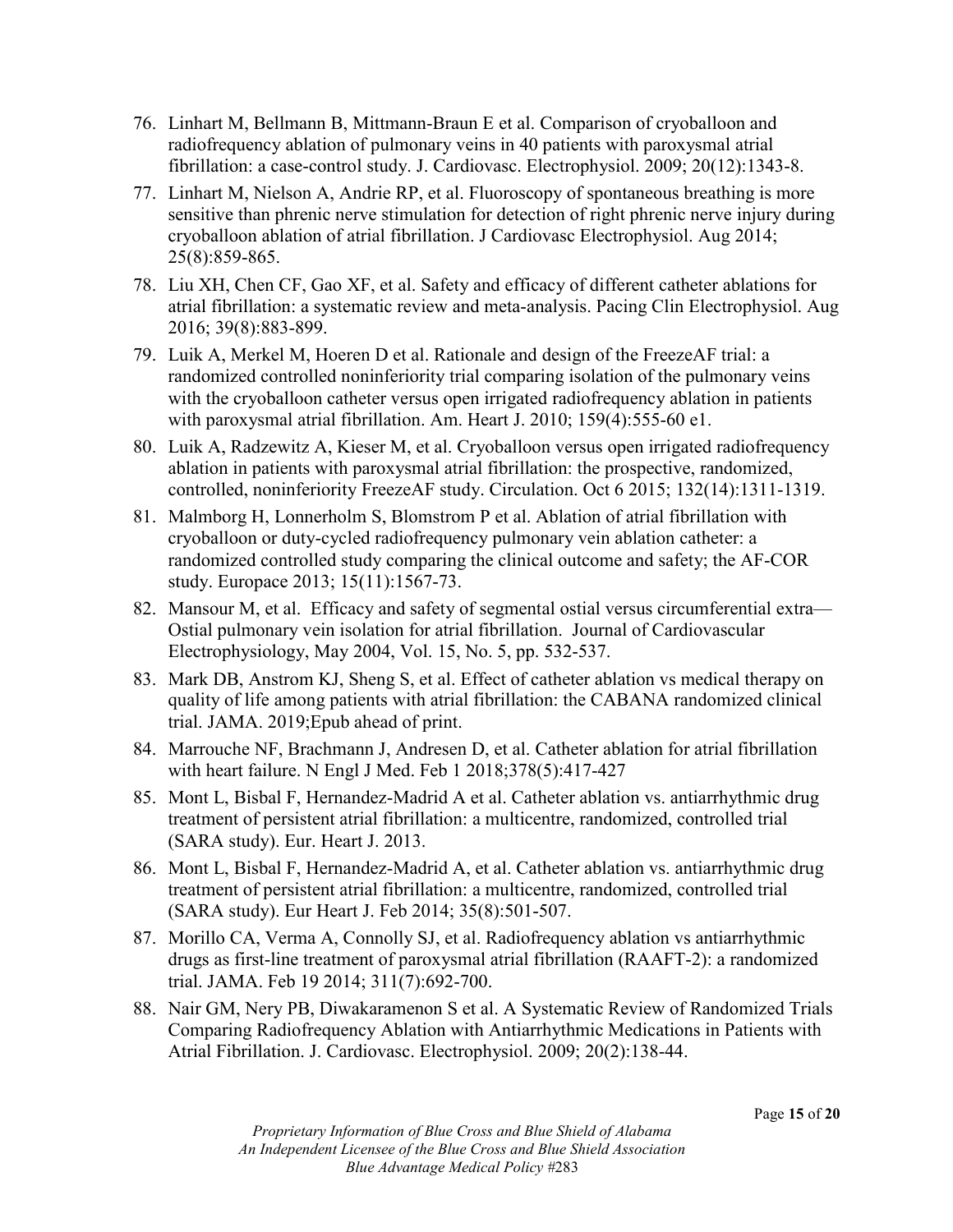- 76. Linhart M, Bellmann B, Mittmann-Braun E et al. Comparison of cryoballoon and radiofrequency ablation of pulmonary veins in 40 patients with paroxysmal atrial fibrillation: a case-control study. J. Cardiovasc. Electrophysiol. 2009; 20(12):1343-8.
- 77. Linhart M, Nielson A, Andrie RP, et al. Fluoroscopy of spontaneous breathing is more sensitive than phrenic nerve stimulation for detection of right phrenic nerve injury during cryoballoon ablation of atrial fibrillation. J Cardiovasc Electrophysiol. Aug 2014; 25(8):859-865.
- 78. Liu XH, Chen CF, Gao XF, et al. Safety and efficacy of different catheter ablations for atrial fibrillation: a systematic review and meta-analysis. Pacing Clin Electrophysiol. Aug 2016; 39(8):883-899.
- 79. Luik A, Merkel M, Hoeren D et al. Rationale and design of the FreezeAF trial: a randomized controlled noninferiority trial comparing isolation of the pulmonary veins with the cryoballoon catheter versus open irrigated radiofrequency ablation in patients with paroxysmal atrial fibrillation. Am. Heart J. 2010; 159(4):555-60 e1.
- 80. Luik A, Radzewitz A, Kieser M, et al. Cryoballoon versus open irrigated radiofrequency ablation in patients with paroxysmal atrial fibrillation: the prospective, randomized, controlled, noninferiority FreezeAF study. Circulation. Oct 6 2015; 132(14):1311-1319.
- 81. Malmborg H, Lonnerholm S, Blomstrom P et al. Ablation of atrial fibrillation with cryoballoon or duty-cycled radiofrequency pulmonary vein ablation catheter: a randomized controlled study comparing the clinical outcome and safety; the AF-COR study. Europace 2013; 15(11):1567-73.
- 82. Mansour M, et al. Efficacy and safety of segmental ostial versus circumferential extra— Ostial pulmonary vein isolation for atrial fibrillation. Journal of Cardiovascular Electrophysiology, May 2004, Vol. 15, No. 5, pp. 532-537.
- 83. Mark DB, Anstrom KJ, Sheng S, et al. Effect of catheter ablation vs medical therapy on quality of life among patients with atrial fibrillation: the CABANA randomized clinical trial. JAMA. 2019;Epub ahead of print.
- 84. Marrouche NF, Brachmann J, Andresen D, et al. Catheter ablation for atrial fibrillation with heart failure. N Engl J Med. Feb 1 2018;378(5):417-427
- 85. Mont L, Bisbal F, Hernandez-Madrid A et al. Catheter ablation vs. antiarrhythmic drug treatment of persistent atrial fibrillation: a multicentre, randomized, controlled trial (SARA study). Eur. Heart J. 2013.
- 86. Mont L, Bisbal F, Hernandez-Madrid A, et al. Catheter ablation vs. antiarrhythmic drug treatment of persistent atrial fibrillation: a multicentre, randomized, controlled trial (SARA study). Eur Heart J. Feb 2014; 35(8):501-507.
- 87. Morillo CA, Verma A, Connolly SJ, et al. Radiofrequency ablation vs antiarrhythmic drugs as first-line treatment of paroxysmal atrial fibrillation (RAAFT-2): a randomized trial. JAMA. Feb 19 2014; 311(7):692-700.
- 88. Nair GM, Nery PB, Diwakaramenon S et al. A Systematic Review of Randomized Trials Comparing Radiofrequency Ablation with Antiarrhythmic Medications in Patients with Atrial Fibrillation. J. Cardiovasc. Electrophysiol. 2009; 20(2):138-44.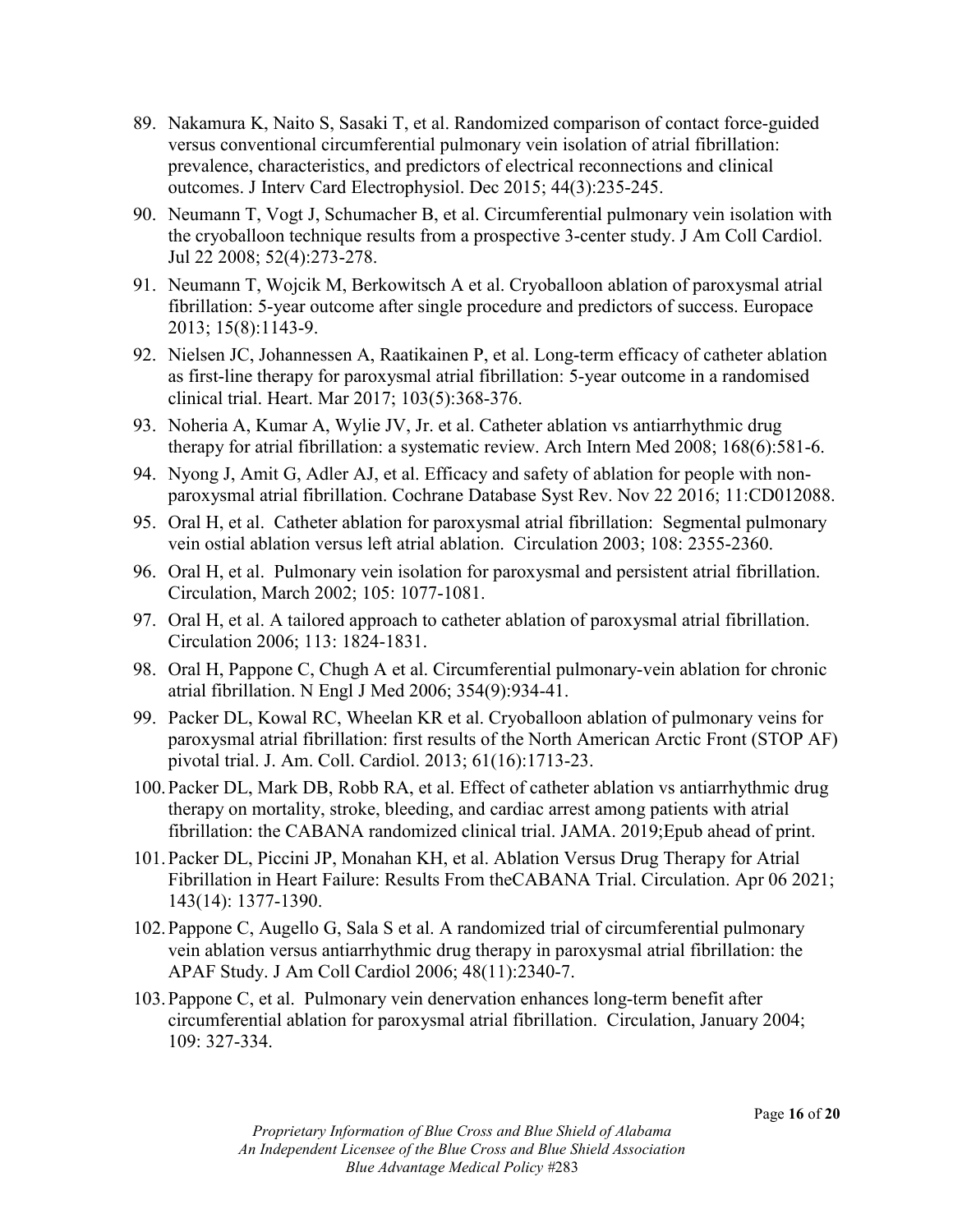- 89. Nakamura K, Naito S, Sasaki T, et al. Randomized comparison of contact force-guided versus conventional circumferential pulmonary vein isolation of atrial fibrillation: prevalence, characteristics, and predictors of electrical reconnections and clinical outcomes. J Interv Card Electrophysiol. Dec 2015; 44(3):235-245.
- 90. Neumann T, Vogt J, Schumacher B, et al. Circumferential pulmonary vein isolation with the cryoballoon technique results from a prospective 3-center study. J Am Coll Cardiol. Jul 22 2008; 52(4):273-278.
- 91. Neumann T, Wojcik M, Berkowitsch A et al. Cryoballoon ablation of paroxysmal atrial fibrillation: 5-year outcome after single procedure and predictors of success. Europace 2013; 15(8):1143-9.
- 92. Nielsen JC, Johannessen A, Raatikainen P, et al. Long-term efficacy of catheter ablation as first-line therapy for paroxysmal atrial fibrillation: 5-year outcome in a randomised clinical trial. Heart. Mar 2017; 103(5):368-376.
- 93. Noheria A, Kumar A, Wylie JV, Jr. et al. Catheter ablation vs antiarrhythmic drug therapy for atrial fibrillation: a systematic review. Arch Intern Med 2008; 168(6):581-6.
- 94. Nyong J, Amit G, Adler AJ, et al. Efficacy and safety of ablation for people with nonparoxysmal atrial fibrillation. Cochrane Database Syst Rev. Nov 22 2016; 11:CD012088.
- 95. Oral H, et al. Catheter ablation for paroxysmal atrial fibrillation: Segmental pulmonary vein ostial ablation versus left atrial ablation. Circulation 2003; 108: 2355-2360.
- 96. Oral H, et al. Pulmonary vein isolation for paroxysmal and persistent atrial fibrillation. Circulation, March 2002; 105: 1077-1081.
- 97. Oral H, et al. A tailored approach to catheter ablation of paroxysmal atrial fibrillation. Circulation 2006; 113: 1824-1831.
- 98. Oral H, Pappone C, Chugh A et al. Circumferential pulmonary-vein ablation for chronic atrial fibrillation. N Engl J Med 2006; 354(9):934-41.
- 99. Packer DL, Kowal RC, Wheelan KR et al. Cryoballoon ablation of pulmonary veins for paroxysmal atrial fibrillation: first results of the North American Arctic Front (STOP AF) pivotal trial. J. Am. Coll. Cardiol. 2013; 61(16):1713-23.
- 100.Packer DL, Mark DB, Robb RA, et al. Effect of catheter ablation vs antiarrhythmic drug therapy on mortality, stroke, bleeding, and cardiac arrest among patients with atrial fibrillation: the CABANA randomized clinical trial. JAMA. 2019;Epub ahead of print.
- 101.Packer DL, Piccini JP, Monahan KH, et al. Ablation Versus Drug Therapy for Atrial Fibrillation in Heart Failure: Results From theCABANA Trial. Circulation. Apr 06 2021; 143(14): 1377-1390.
- 102.Pappone C, Augello G, Sala S et al. A randomized trial of circumferential pulmonary vein ablation versus antiarrhythmic drug therapy in paroxysmal atrial fibrillation: the APAF Study. J Am Coll Cardiol 2006; 48(11):2340-7.
- 103.Pappone C, et al. Pulmonary vein denervation enhances long-term benefit after circumferential ablation for paroxysmal atrial fibrillation. Circulation, January 2004; 109: 327-334.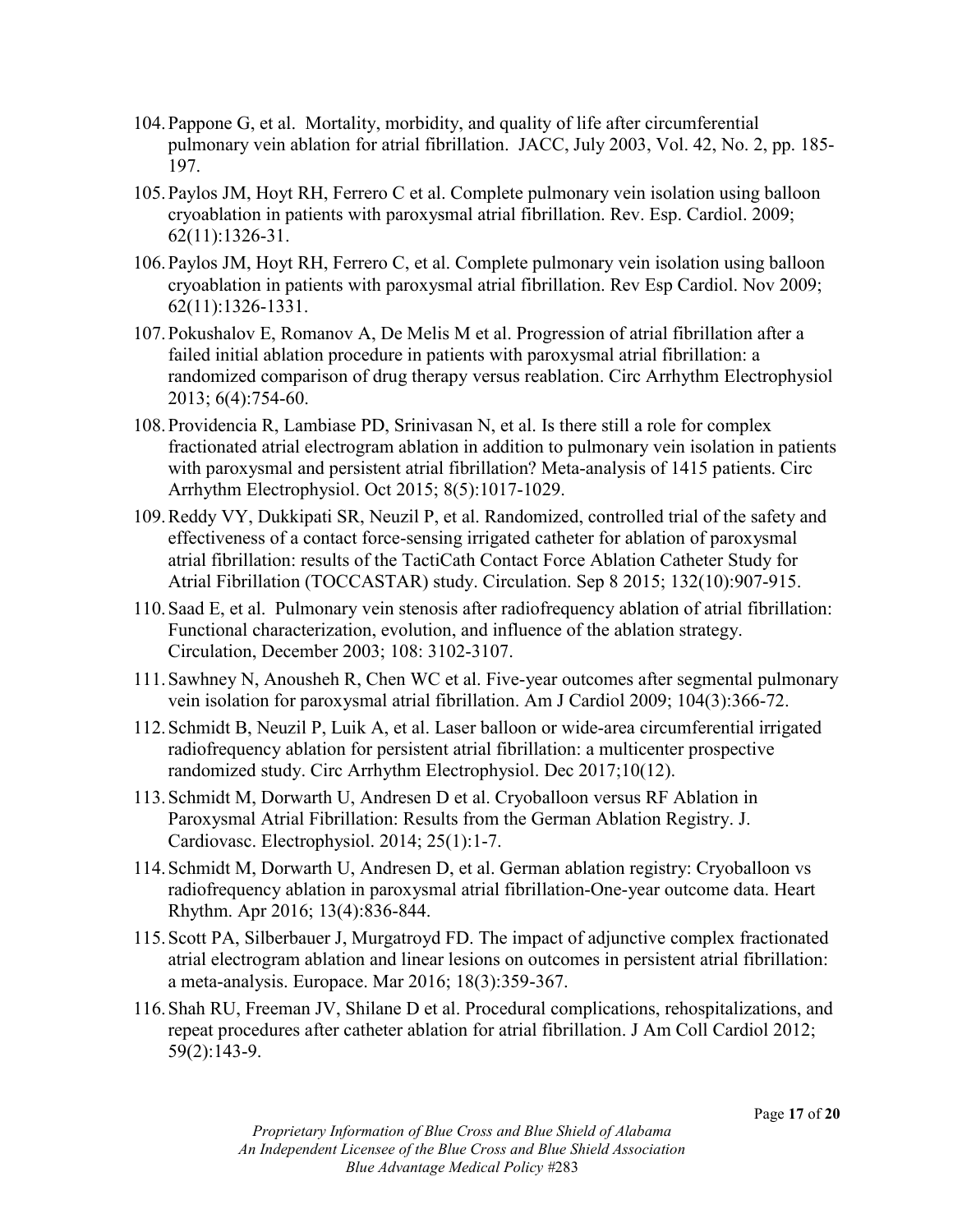- 104.Pappone G, et al. Mortality, morbidity, and quality of life after circumferential pulmonary vein ablation for atrial fibrillation. JACC, July 2003, Vol. 42, No. 2, pp. 185- 197.
- 105.Paylos JM, Hoyt RH, Ferrero C et al. Complete pulmonary vein isolation using balloon cryoablation in patients with paroxysmal atrial fibrillation. Rev. Esp. Cardiol. 2009; 62(11):1326-31.
- 106.Paylos JM, Hoyt RH, Ferrero C, et al. Complete pulmonary vein isolation using balloon cryoablation in patients with paroxysmal atrial fibrillation. Rev Esp Cardiol. Nov 2009; 62(11):1326-1331.
- 107.Pokushalov E, Romanov A, De Melis M et al. Progression of atrial fibrillation after a failed initial ablation procedure in patients with paroxysmal atrial fibrillation: a randomized comparison of drug therapy versus reablation. Circ Arrhythm Electrophysiol 2013; 6(4):754-60.
- 108.Providencia R, Lambiase PD, Srinivasan N, et al. Is there still a role for complex fractionated atrial electrogram ablation in addition to pulmonary vein isolation in patients with paroxysmal and persistent atrial fibrillation? Meta-analysis of 1415 patients. Circ Arrhythm Electrophysiol. Oct 2015; 8(5):1017-1029.
- 109.Reddy VY, Dukkipati SR, Neuzil P, et al. Randomized, controlled trial of the safety and effectiveness of a contact force-sensing irrigated catheter for ablation of paroxysmal atrial fibrillation: results of the TactiCath Contact Force Ablation Catheter Study for Atrial Fibrillation (TOCCASTAR) study. Circulation. Sep 8 2015; 132(10):907-915.
- 110.Saad E, et al. Pulmonary vein stenosis after radiofrequency ablation of atrial fibrillation: Functional characterization, evolution, and influence of the ablation strategy. Circulation, December 2003; 108: 3102-3107.
- 111.Sawhney N, Anousheh R, Chen WC et al. Five-year outcomes after segmental pulmonary vein isolation for paroxysmal atrial fibrillation. Am J Cardiol 2009; 104(3):366-72.
- 112.Schmidt B, Neuzil P, Luik A, et al. Laser balloon or wide-area circumferential irrigated radiofrequency ablation for persistent atrial fibrillation: a multicenter prospective randomized study. Circ Arrhythm Electrophysiol. Dec 2017;10(12).
- 113.Schmidt M, Dorwarth U, Andresen D et al. Cryoballoon versus RF Ablation in Paroxysmal Atrial Fibrillation: Results from the German Ablation Registry. J. Cardiovasc. Electrophysiol. 2014; 25(1):1-7.
- 114.Schmidt M, Dorwarth U, Andresen D, et al. German ablation registry: Cryoballoon vs radiofrequency ablation in paroxysmal atrial fibrillation-One-year outcome data. Heart Rhythm. Apr 2016; 13(4):836-844.
- 115.Scott PA, Silberbauer J, Murgatroyd FD. The impact of adjunctive complex fractionated atrial electrogram ablation and linear lesions on outcomes in persistent atrial fibrillation: a meta-analysis. Europace. Mar 2016; 18(3):359-367.
- 116.Shah RU, Freeman JV, Shilane D et al. Procedural complications, rehospitalizations, and repeat procedures after catheter ablation for atrial fibrillation. J Am Coll Cardiol 2012; 59(2):143-9.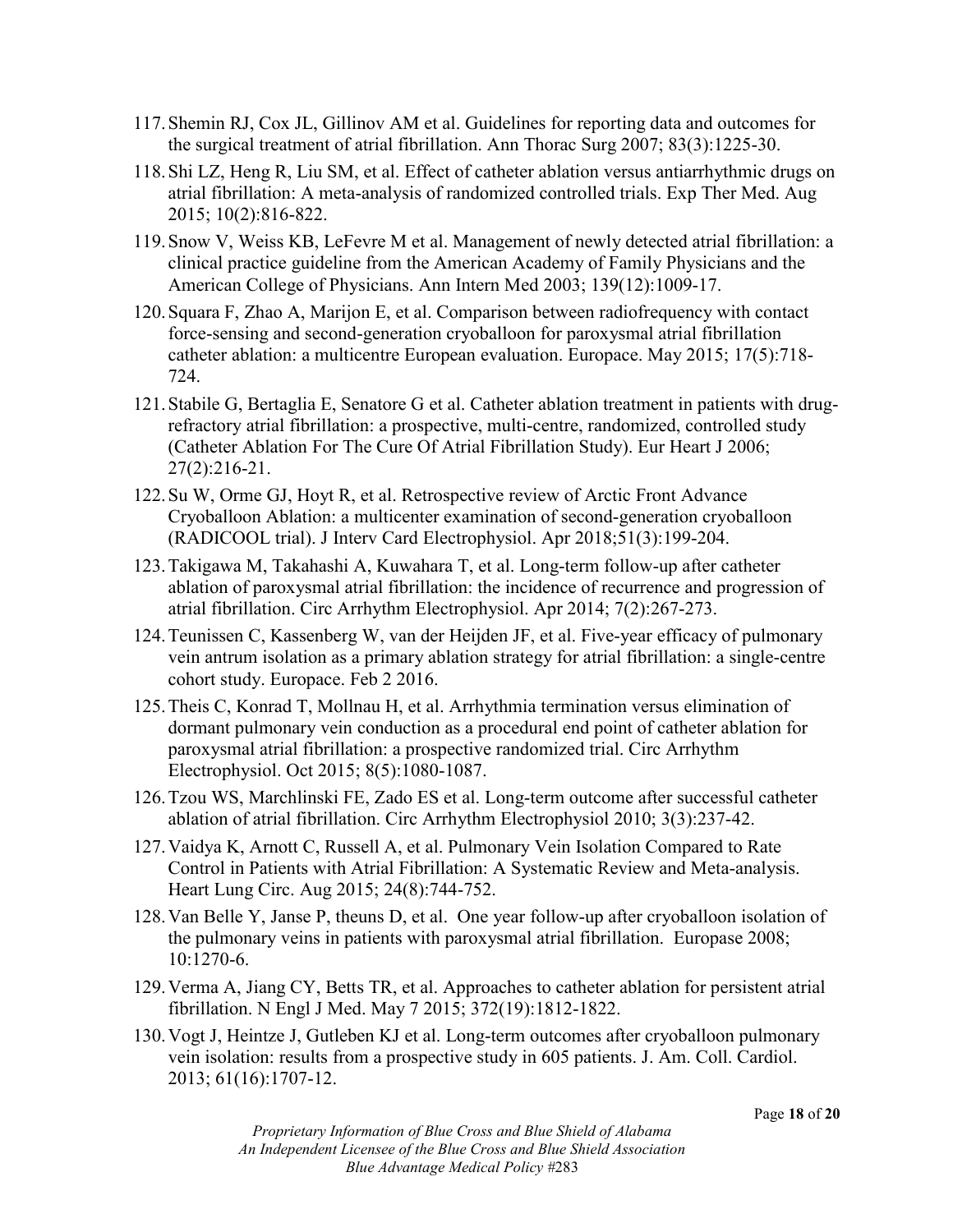- 117.Shemin RJ, Cox JL, Gillinov AM et al. Guidelines for reporting data and outcomes for the surgical treatment of atrial fibrillation. Ann Thorac Surg 2007; 83(3):1225-30.
- 118.Shi LZ, Heng R, Liu SM, et al. Effect of catheter ablation versus antiarrhythmic drugs on atrial fibrillation: A meta-analysis of randomized controlled trials. Exp Ther Med. Aug 2015; 10(2):816-822.
- 119.Snow V, Weiss KB, LeFevre M et al. Management of newly detected atrial fibrillation: a clinical practice guideline from the American Academy of Family Physicians and the American College of Physicians. Ann Intern Med 2003; 139(12):1009-17.
- 120.Squara F, Zhao A, Marijon E, et al. Comparison between radiofrequency with contact force-sensing and second-generation cryoballoon for paroxysmal atrial fibrillation catheter ablation: a multicentre European evaluation. Europace. May 2015; 17(5):718- 724.
- 121.Stabile G, Bertaglia E, Senatore G et al. Catheter ablation treatment in patients with drugrefractory atrial fibrillation: a prospective, multi-centre, randomized, controlled study (Catheter Ablation For The Cure Of Atrial Fibrillation Study). Eur Heart J 2006; 27(2):216-21.
- 122.Su W, Orme GJ, Hoyt R, et al. Retrospective review of Arctic Front Advance Cryoballoon Ablation: a multicenter examination of second-generation cryoballoon (RADICOOL trial). J Interv Card Electrophysiol. Apr 2018;51(3):199-204.
- 123.Takigawa M, Takahashi A, Kuwahara T, et al. Long-term follow-up after catheter ablation of paroxysmal atrial fibrillation: the incidence of recurrence and progression of atrial fibrillation. Circ Arrhythm Electrophysiol. Apr 2014; 7(2):267-273.
- 124.Teunissen C, Kassenberg W, van der Heijden JF, et al. Five-year efficacy of pulmonary vein antrum isolation as a primary ablation strategy for atrial fibrillation: a single-centre cohort study. Europace. Feb 2 2016.
- 125.Theis C, Konrad T, Mollnau H, et al. Arrhythmia termination versus elimination of dormant pulmonary vein conduction as a procedural end point of catheter ablation for paroxysmal atrial fibrillation: a prospective randomized trial. Circ Arrhythm Electrophysiol. Oct 2015; 8(5):1080-1087.
- 126.Tzou WS, Marchlinski FE, Zado ES et al. Long-term outcome after successful catheter ablation of atrial fibrillation. Circ Arrhythm Electrophysiol 2010; 3(3):237-42.
- 127.Vaidya K, Arnott C, Russell A, et al. Pulmonary Vein Isolation Compared to Rate Control in Patients with Atrial Fibrillation: A Systematic Review and Meta-analysis. Heart Lung Circ. Aug 2015; 24(8):744-752.
- 128.Van Belle Y, Janse P, theuns D, et al. One year follow-up after cryoballoon isolation of the pulmonary veins in patients with paroxysmal atrial fibrillation. Europase 2008; 10:1270-6.
- 129.Verma A, Jiang CY, Betts TR, et al. Approaches to catheter ablation for persistent atrial fibrillation. N Engl J Med. May 7 2015; 372(19):1812-1822.
- 130.Vogt J, Heintze J, Gutleben KJ et al. Long-term outcomes after cryoballoon pulmonary vein isolation: results from a prospective study in 605 patients. J. Am. Coll. Cardiol. 2013; 61(16):1707-12.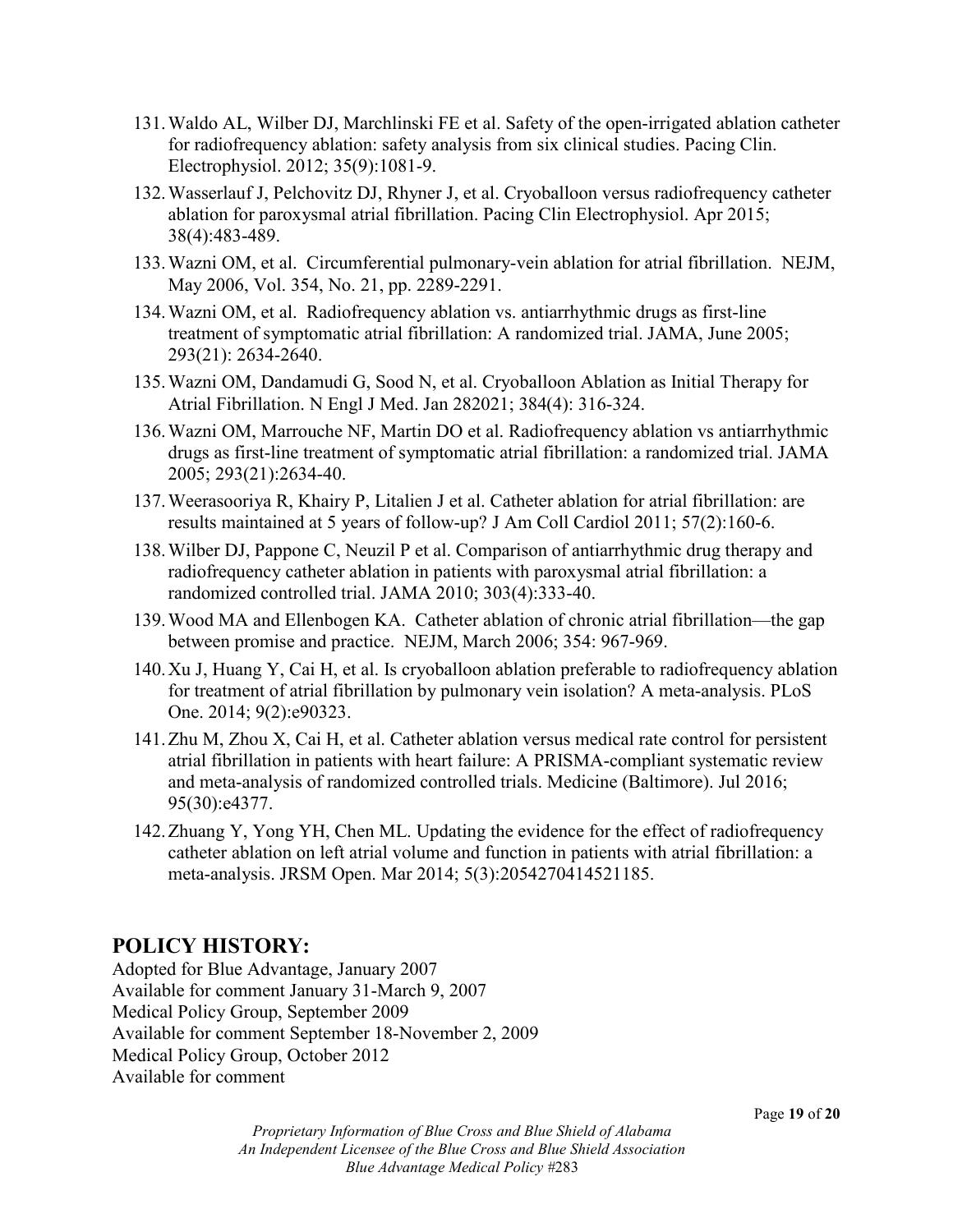- 131.Waldo AL, Wilber DJ, Marchlinski FE et al. Safety of the open-irrigated ablation catheter for radiofrequency ablation: safety analysis from six clinical studies. Pacing Clin. Electrophysiol. 2012; 35(9):1081-9.
- 132.Wasserlauf J, Pelchovitz DJ, Rhyner J, et al. Cryoballoon versus radiofrequency catheter ablation for paroxysmal atrial fibrillation. Pacing Clin Electrophysiol. Apr 2015; 38(4):483-489.
- 133.Wazni OM, et al. Circumferential pulmonary-vein ablation for atrial fibrillation. NEJM, May 2006, Vol. 354, No. 21, pp. 2289-2291.
- 134.Wazni OM, et al. Radiofrequency ablation vs. antiarrhythmic drugs as first-line treatment of symptomatic atrial fibrillation: A randomized trial. JAMA, June 2005; 293(21): 2634-2640.
- 135.Wazni OM, Dandamudi G, Sood N, et al. Cryoballoon Ablation as Initial Therapy for Atrial Fibrillation. N Engl J Med. Jan 282021; 384(4): 316-324.
- 136.Wazni OM, Marrouche NF, Martin DO et al. Radiofrequency ablation vs antiarrhythmic drugs as first-line treatment of symptomatic atrial fibrillation: a randomized trial. JAMA 2005; 293(21):2634-40.
- 137.Weerasooriya R, Khairy P, Litalien J et al. Catheter ablation for atrial fibrillation: are results maintained at 5 years of follow-up? J Am Coll Cardiol 2011; 57(2):160-6.
- 138.Wilber DJ, Pappone C, Neuzil P et al. Comparison of antiarrhythmic drug therapy and radiofrequency catheter ablation in patients with paroxysmal atrial fibrillation: a randomized controlled trial. JAMA 2010; 303(4):333-40.
- 139.Wood MA and Ellenbogen KA. Catheter ablation of chronic atrial fibrillation—the gap between promise and practice. NEJM, March 2006; 354: 967-969.
- 140.Xu J, Huang Y, Cai H, et al. Is cryoballoon ablation preferable to radiofrequency ablation for treatment of atrial fibrillation by pulmonary vein isolation? A meta-analysis. PLoS One. 2014; 9(2):e90323.
- 141.Zhu M, Zhou X, Cai H, et al. Catheter ablation versus medical rate control for persistent atrial fibrillation in patients with heart failure: A PRISMA-compliant systematic review and meta-analysis of randomized controlled trials. Medicine (Baltimore). Jul 2016; 95(30):e4377.
- 142.Zhuang Y, Yong YH, Chen ML. Updating the evidence for the effect of radiofrequency catheter ablation on left atrial volume and function in patients with atrial fibrillation: a meta-analysis. JRSM Open. Mar 2014; 5(3):2054270414521185.

## **POLICY HISTORY:**

Adopted for Blue Advantage, January 2007 Available for comment January 31-March 9, 2007 Medical Policy Group, September 2009 Available for comment September 18-November 2, 2009 Medical Policy Group, October 2012 Available for comment